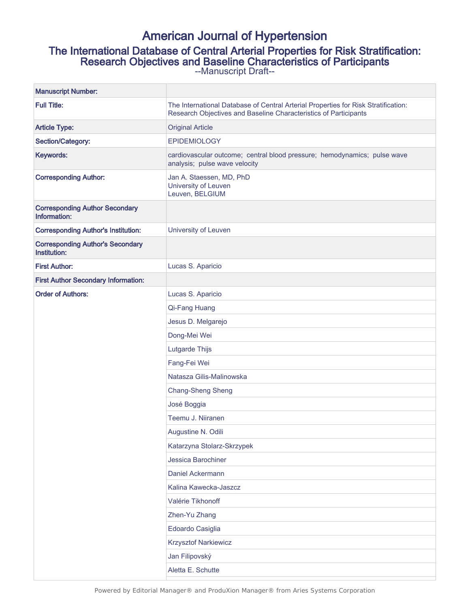# American Journal of Hypertension

## The International Database of Central Arterial Properties for Risk Stratification:

Research Objectives and Baseline Characteristics of Participants

--Manuscript Draft--

| <b>Manuscript Number:</b>                               |                                                                                                                                                        |
|---------------------------------------------------------|--------------------------------------------------------------------------------------------------------------------------------------------------------|
| <b>Full Title:</b>                                      | The International Database of Central Arterial Properties for Risk Stratification:<br>Research Objectives and Baseline Characteristics of Participants |
| <b>Article Type:</b>                                    | <b>Original Article</b>                                                                                                                                |
| Section/Category:                                       | <b>EPIDEMIOLOGY</b>                                                                                                                                    |
| Keywords:                                               | cardiovascular outcome; central blood pressure; hemodynamics; pulse wave<br>analysis; pulse wave velocity                                              |
| <b>Corresponding Author:</b>                            | Jan A. Staessen, MD, PhD<br>University of Leuven<br>Leuven, BELGIUM                                                                                    |
| <b>Corresponding Author Secondary</b><br>Information:   |                                                                                                                                                        |
| <b>Corresponding Author's Institution:</b>              | University of Leuven                                                                                                                                   |
| <b>Corresponding Author's Secondary</b><br>Institution: |                                                                                                                                                        |
| <b>First Author:</b>                                    | Lucas S. Aparicio                                                                                                                                      |
| <b>First Author Secondary Information:</b>              |                                                                                                                                                        |
| <b>Order of Authors:</b>                                | Lucas S. Aparicio                                                                                                                                      |
|                                                         | Qi-Fang Huang                                                                                                                                          |
|                                                         | Jesus D. Melgarejo                                                                                                                                     |
|                                                         | Dong-Mei Wei                                                                                                                                           |
|                                                         | Lutgarde Thijs                                                                                                                                         |
|                                                         | Fang-Fei Wei                                                                                                                                           |
|                                                         | Natasza Gilis-Malinowska                                                                                                                               |
|                                                         | <b>Chang-Sheng Sheng</b>                                                                                                                               |
|                                                         | José Boggia                                                                                                                                            |
|                                                         | Teemu J. Niiranen                                                                                                                                      |
|                                                         | Augustine N. Odili                                                                                                                                     |
|                                                         | Katarzyna Stolarz-Skrzypek                                                                                                                             |
|                                                         | Jessica Barochiner                                                                                                                                     |
|                                                         | Daniel Ackermann                                                                                                                                       |
|                                                         | Kalina Kawecka-Jaszcz                                                                                                                                  |
|                                                         | Valérie Tikhonoff                                                                                                                                      |
|                                                         | Zhen-Yu Zhang                                                                                                                                          |
|                                                         | Edoardo Casiglia                                                                                                                                       |
|                                                         | <b>Krzysztof Narkiewicz</b>                                                                                                                            |
|                                                         | Jan Filipovský                                                                                                                                         |
|                                                         | Aletta E. Schutte                                                                                                                                      |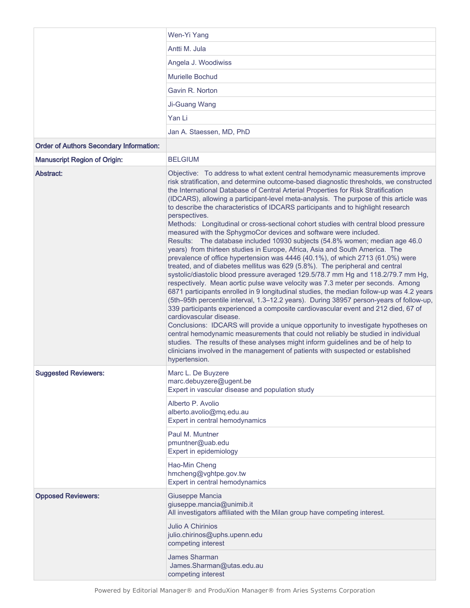|                                                | Wen-Yi Yang                                                                                                                                                                                                                                                                                                                                                                                                                                                                                                                                                                                                                                                                                                                                                                                                                                                                                                                                                                                                                                                                                                                                                                                                                                                                                                                                                                                                                                                                                                                                                                                                                                                                                                                                                                                            |
|------------------------------------------------|--------------------------------------------------------------------------------------------------------------------------------------------------------------------------------------------------------------------------------------------------------------------------------------------------------------------------------------------------------------------------------------------------------------------------------------------------------------------------------------------------------------------------------------------------------------------------------------------------------------------------------------------------------------------------------------------------------------------------------------------------------------------------------------------------------------------------------------------------------------------------------------------------------------------------------------------------------------------------------------------------------------------------------------------------------------------------------------------------------------------------------------------------------------------------------------------------------------------------------------------------------------------------------------------------------------------------------------------------------------------------------------------------------------------------------------------------------------------------------------------------------------------------------------------------------------------------------------------------------------------------------------------------------------------------------------------------------------------------------------------------------------------------------------------------------|
|                                                | Antti M. Jula                                                                                                                                                                                                                                                                                                                                                                                                                                                                                                                                                                                                                                                                                                                                                                                                                                                                                                                                                                                                                                                                                                                                                                                                                                                                                                                                                                                                                                                                                                                                                                                                                                                                                                                                                                                          |
|                                                | Angela J. Woodiwiss                                                                                                                                                                                                                                                                                                                                                                                                                                                                                                                                                                                                                                                                                                                                                                                                                                                                                                                                                                                                                                                                                                                                                                                                                                                                                                                                                                                                                                                                                                                                                                                                                                                                                                                                                                                    |
|                                                | Murielle Bochud                                                                                                                                                                                                                                                                                                                                                                                                                                                                                                                                                                                                                                                                                                                                                                                                                                                                                                                                                                                                                                                                                                                                                                                                                                                                                                                                                                                                                                                                                                                                                                                                                                                                                                                                                                                        |
|                                                | Gavin R. Norton                                                                                                                                                                                                                                                                                                                                                                                                                                                                                                                                                                                                                                                                                                                                                                                                                                                                                                                                                                                                                                                                                                                                                                                                                                                                                                                                                                                                                                                                                                                                                                                                                                                                                                                                                                                        |
|                                                | Ji-Guang Wang                                                                                                                                                                                                                                                                                                                                                                                                                                                                                                                                                                                                                                                                                                                                                                                                                                                                                                                                                                                                                                                                                                                                                                                                                                                                                                                                                                                                                                                                                                                                                                                                                                                                                                                                                                                          |
|                                                | Yan Li                                                                                                                                                                                                                                                                                                                                                                                                                                                                                                                                                                                                                                                                                                                                                                                                                                                                                                                                                                                                                                                                                                                                                                                                                                                                                                                                                                                                                                                                                                                                                                                                                                                                                                                                                                                                 |
|                                                | Jan A. Staessen, MD, PhD                                                                                                                                                                                                                                                                                                                                                                                                                                                                                                                                                                                                                                                                                                                                                                                                                                                                                                                                                                                                                                                                                                                                                                                                                                                                                                                                                                                                                                                                                                                                                                                                                                                                                                                                                                               |
| <b>Order of Authors Secondary Information:</b> |                                                                                                                                                                                                                                                                                                                                                                                                                                                                                                                                                                                                                                                                                                                                                                                                                                                                                                                                                                                                                                                                                                                                                                                                                                                                                                                                                                                                                                                                                                                                                                                                                                                                                                                                                                                                        |
| <b>Manuscript Region of Origin:</b>            | <b>BELGIUM</b>                                                                                                                                                                                                                                                                                                                                                                                                                                                                                                                                                                                                                                                                                                                                                                                                                                                                                                                                                                                                                                                                                                                                                                                                                                                                                                                                                                                                                                                                                                                                                                                                                                                                                                                                                                                         |
| Abstract:                                      | Objective: To address to what extent central hemodynamic measurements improve<br>risk stratification, and determine outcome-based diagnostic thresholds, we constructed<br>the International Database of Central Arterial Properties for Risk Stratification<br>(IDCARS), allowing a participant-level meta-analysis. The purpose of this article was<br>to describe the characteristics of IDCARS participants and to highlight research<br>perspectives.<br>Methods: Longitudinal or cross-sectional cohort studies with central blood pressure<br>measured with the SphygmoCor devices and software were included.<br>Results: The database included 10930 subjects (54.8% women; median age 46.0<br>years) from thirteen studies in Europe, Africa, Asia and South America. The<br>prevalence of office hypertension was 4446 (40.1%), of which 2713 (61.0%) were<br>treated, and of diabetes mellitus was 629 (5.8%). The peripheral and central<br>systolic/diastolic blood pressure averaged 129.5/78.7 mm Hg and 118.2/79.7 mm Hg,<br>respectively. Mean aortic pulse wave velocity was 7.3 meter per seconds. Among<br>6871 participants enrolled in 9 longitudinal studies, the median follow-up was 4.2 years<br>(5th-95th percentile interval, 1.3-12.2 years). During 38957 person-years of follow-up,<br>339 participants experienced a composite cardiovascular event and 212 died, 67 of<br>cardiovascular disease.<br>Conclusions: IDCARS will provide a unique opportunity to investigate hypotheses on<br>central hemodynamic measurements that could not reliably be studied in individual<br>studies. The results of these analyses might inform guidelines and be of help to<br>clinicians involved in the management of patients with suspected or established<br>hypertension. |
| <b>Suggested Reviewers:</b>                    | Marc L. De Buyzere<br>marc.debuyzere@ugent.be<br>Expert in vascular disease and population study<br>Alberto P. Avolio<br>alberto.avolio@mq.edu.au<br>Expert in central hemodynamics<br>Paul M. Muntner<br>pmuntner@uab.edu                                                                                                                                                                                                                                                                                                                                                                                                                                                                                                                                                                                                                                                                                                                                                                                                                                                                                                                                                                                                                                                                                                                                                                                                                                                                                                                                                                                                                                                                                                                                                                             |
|                                                | Expert in epidemiology<br>Hao-Min Cheng<br>hmcheng@vghtpe.gov.tw<br>Expert in central hemodynamics                                                                                                                                                                                                                                                                                                                                                                                                                                                                                                                                                                                                                                                                                                                                                                                                                                                                                                                                                                                                                                                                                                                                                                                                                                                                                                                                                                                                                                                                                                                                                                                                                                                                                                     |
| <b>Opposed Reviewers:</b>                      | Giuseppe Mancia<br>giuseppe.mancia@unimib.it<br>All investigators affiliated with the Milan group have competing interest.                                                                                                                                                                                                                                                                                                                                                                                                                                                                                                                                                                                                                                                                                                                                                                                                                                                                                                                                                                                                                                                                                                                                                                                                                                                                                                                                                                                                                                                                                                                                                                                                                                                                             |
|                                                | Julio A Chirinios<br>julio.chirinos@uphs.upenn.edu<br>competing interest                                                                                                                                                                                                                                                                                                                                                                                                                                                                                                                                                                                                                                                                                                                                                                                                                                                                                                                                                                                                                                                                                                                                                                                                                                                                                                                                                                                                                                                                                                                                                                                                                                                                                                                               |
|                                                | <b>James Sharman</b><br>James.Sharman@utas.edu.au<br>competing interest                                                                                                                                                                                                                                                                                                                                                                                                                                                                                                                                                                                                                                                                                                                                                                                                                                                                                                                                                                                                                                                                                                                                                                                                                                                                                                                                                                                                                                                                                                                                                                                                                                                                                                                                |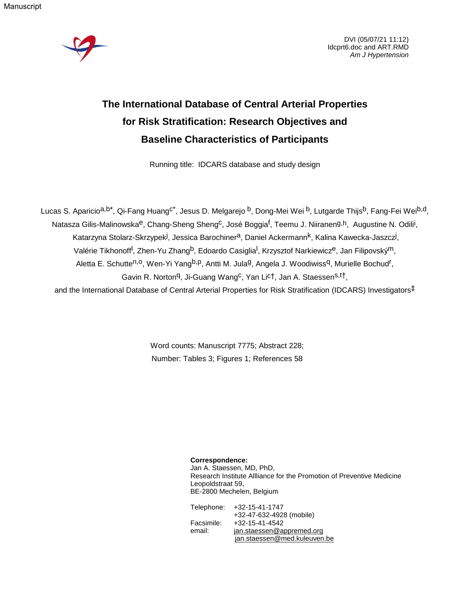Manuscript



DVI (05/07/21 11:12) Idcprt6.doc and ART.RMD *Am J Hypertension*

# **The International Database of Central Arterial Properties for Risk Stratification: Research Objectives and Baseline Characteristics of Participants**

Running title: IDCARS database and study design

Lucas S. Aparicio<sup>a,b\*</sup>, Qi-Fang Huang<sup>c\*</sup>, Jesus D. Melgarejo <sup>b</sup>, Dong-Mei Wei <sup>b</sup>, Lutgarde Thijs<sup>b</sup>, Fang-Fei Wei<sup>b,d</sup>, Natasza Gilis-Malinowska<sup>e</sup>, Chang-Sheng Sheng<sup>c</sup>, José Boggia<sup>f</sup>, Teemu J. Niiranen<sup>g,h</sup>, Augustine N. Odili<sup>i</sup>, Katarzyna Stolarz-Skrzypek<sup>j</sup>, Jessica Barochiner<sup>a</sup>, Daniel Ackermann<sup>k</sup>, Kalina Kawecka-Jaszcz<sup>j</sup>, Valérie Tikhonoff<sup>I</sup>, Zhen-Yu Zhang<sup>b</sup>, Edoardo Casiglia<sup>I</sup>, Krzysztof Narkiewicz<sup>e</sup>, Jan Filipovský<sup>m</sup>, Aletta E. Schutte<sup>n,o</sup>, Wen-Yi Yang<sup>b,p</sup>, Antti M. Jula<sup>g</sup>, Angela J. Woodiwiss<sup>q</sup>, Murielle Bochud<sup>r</sup>, Gavin R. Norton<sup>q</sup>, Ji-Guang Wang<sup>c</sup>, Yan Lict, Jan A. Staessen<sup>s,t†</sup>,

and the International Database of Central Arterial Properties for Risk Stratification (IDCARS) Investigators‡

Word counts: Manuscript 7775; Abstract 228; Number: Tables 3; Figures 1; References 58

> **Correspondence:** Jan A. Staessen, MD, PhD, Research Institute Allliance for the Promotion of Preventive Medicine Leopoldstraat 59, BE-2800 Mechelen, Belgium

Telephone: +32-15-41-1747 +32-47-632-4928 (mobile) Facsimile: +32-15-41-4542 email: [jan.staessen@appremed.org](mailto:jan.staessen@appremed.org) [jan.staessen@med.kuleuven.be](mailto:jan.staessen@med.kuleuven.be)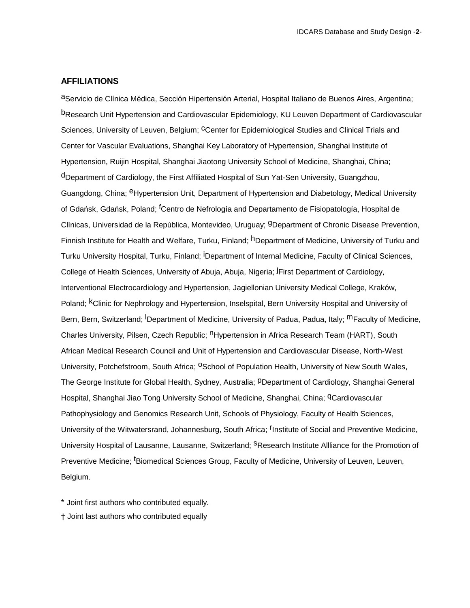## **AFFILIATIONS**

aServicio de Clínica Médica, Sección Hipertensión Arterial, Hospital Italiano de Buenos Aires, Argentina; bResearch Unit Hypertension and Cardiovascular Epidemiology, KU Leuven Department of Cardiovascular Sciences, University of Leuven, Belgium; Center for Epidemiological Studies and Clinical Trials and Center for Vascular Evaluations, Shanghai Key Laboratory of Hypertension, Shanghai Institute of Hypertension, Ruijin Hospital, Shanghai Jiaotong University School of Medicine, Shanghai, China; dDepartment of Cardiology, the First Affiliated Hospital of Sun Yat-Sen University, Guangzhou, Guangdong, China; <sup>e</sup>Hypertension Unit, Department of Hypertension and Diabetology, Medical University of Gdańsk, Gdańsk, Poland; fCentro de Nefrología and Departamento de Fisiopatología, Hospital de Clínicas, Universidad de la República, Montevideo, Uruguay; gDepartment of Chronic Disease Prevention, Finnish Institute for Health and Welfare, Turku, Finland; <sup>h</sup>Department of Medicine, University of Turku and Turku University Hospital, Turku, Finland; <sup>i</sup>Department of Internal Medicine, Faculty of Clinical Sciences, College of Health Sciences, University of Abuja, Abuja, Nigeria; jFirst Department of Cardiology, Interventional Electrocardiology and Hypertension, Jagiellonian University Medical College, Kraków, Poland; <sup>k</sup>Clinic for Nephrology and Hypertension, Inselspital, Bern University Hospital and University of Bern, Bern, Switzerland; <sup>I</sup>Department of Medicine, University of Padua, Padua, Italy; <sup>m</sup>Faculty of Medicine, Charles University, Pilsen, Czech Republic; <sup>n</sup>Hypertension in Africa Research Team (HART), South African Medical Research Council and Unit of Hypertension and Cardiovascular Disease, North-West University, Potchefstroom, South Africa; <sup>O</sup>School of Population Health, University of New South Wales, The George Institute for Global Health, Sydney, Australia; pDepartment of Cardiology, Shanghai General Hospital, Shanghai Jiao Tong University School of Medicine, Shanghai, China; <sup>q</sup>Cardiovascular Pathophysiology and Genomics Research Unit, Schools of Physiology, Faculty of Health Sciences, University of the Witwatersrand, Johannesburg, South Africa; <sup>r</sup>Institute of Social and Preventive Medicine, University Hospital of Lausanne, Lausanne, Switzerland; <sup>S</sup>Research Institute Allliance for the Promotion of Preventive Medicine; <sup>t</sup>Biomedical Sciences Group, Faculty of Medicine, University of Leuven, Leuven, Belgium.

\* Joint first authors who contributed equally.

† Joint last authors who contributed equally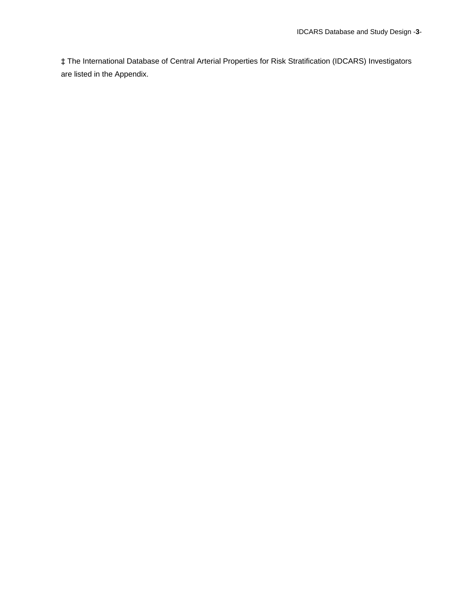‡ The International Database of Central Arterial Properties for Risk Stratification (IDCARS) Investigators are listed in the Appendix.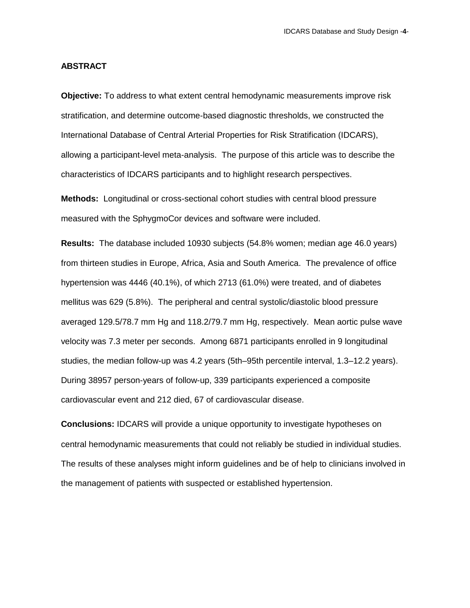#### **ABSTRACT**

**Objective:** To address to what extent central hemodynamic measurements improve risk stratification, and determine outcome-based diagnostic thresholds, we constructed the International Database of Central Arterial Properties for Risk Stratification (IDCARS), allowing a participant-level meta-analysis. The purpose of this article was to describe the characteristics of IDCARS participants and to highlight research perspectives.

**Methods:** Longitudinal or cross-sectional cohort studies with central blood pressure measured with the SphygmoCor devices and software were included.

**Results:** The database included 10930 subjects (54.8% women; median age 46.0 years) from thirteen studies in Europe, Africa, Asia and South America. The prevalence of office hypertension was 4446 (40.1%), of which 2713 (61.0%) were treated, and of diabetes mellitus was 629 (5.8%). The peripheral and central systolic/diastolic blood pressure averaged 129.5/78.7 mm Hg and 118.2/79.7 mm Hg, respectively. Mean aortic pulse wave velocity was 7.3 meter per seconds. Among 6871 participants enrolled in 9 longitudinal studies, the median follow-up was 4.2 years (5th–95th percentile interval, 1.3–12.2 years). During 38957 person-years of follow-up, 339 participants experienced a composite cardiovascular event and 212 died, 67 of cardiovascular disease.

**Conclusions:** IDCARS will provide a unique opportunity to investigate hypotheses on central hemodynamic measurements that could not reliably be studied in individual studies. The results of these analyses might inform guidelines and be of help to clinicians involved in the management of patients with suspected or established hypertension.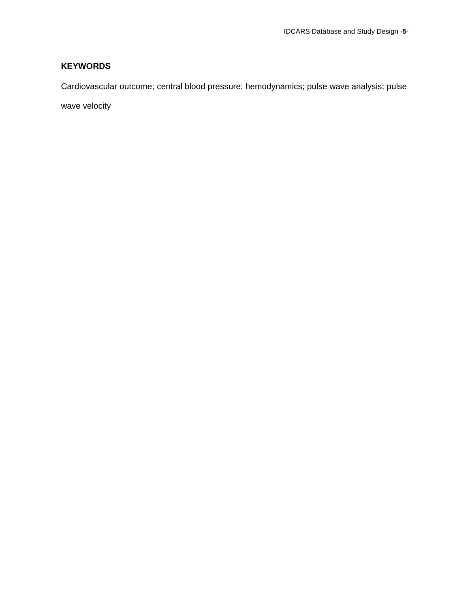## **KEYWORDS**

Cardiovascular outcome; central blood pressure; hemodynamics; pulse wave analysis; pulse

wave velocity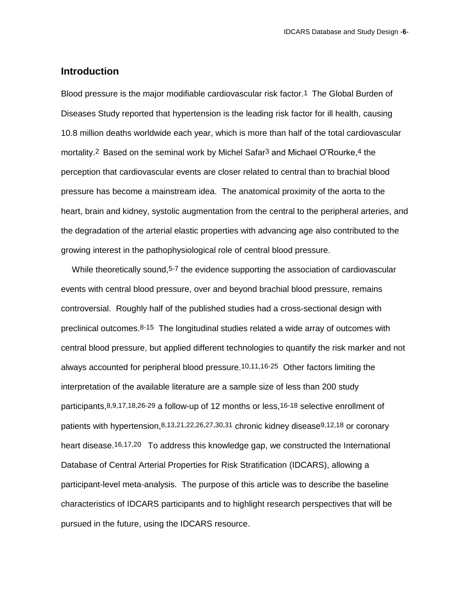## **Introduction**

Blood pressure is the major modifiable cardiovascular risk factor.1 The Global Burden of Diseases Study reported that hypertension is the leading risk factor for ill health, causing 10.8 million deaths worldwide each year, which is more than half of the total cardiovascular mortality.<sup>2</sup> Based on the seminal work by Michel Safar<sup>3</sup> and Michael O'Rourke,<sup>4</sup> the perception that cardiovascular events are closer related to central than to brachial blood pressure has become a mainstream idea. The anatomical proximity of the aorta to the heart, brain and kidney, systolic augmentation from the central to the peripheral arteries, and the degradation of the arterial elastic properties with advancing age also contributed to the growing interest in the pathophysiological role of central blood pressure.

While theoretically sound,<sup>5-7</sup> the evidence supporting the association of cardiovascular events with central blood pressure, over and beyond brachial blood pressure, remains controversial. Roughly half of the published studies had a cross-sectional design with preclinical outcomes.8-15 The longitudinal studies related a wide array of outcomes with central blood pressure, but applied different technologies to quantify the risk marker and not always accounted for peripheral blood pressure.10,11,16-25 Other factors limiting the interpretation of the available literature are a sample size of less than 200 study participants,8,9,17,18,26-29 a follow-up of 12 months or less,16-18 selective enrollment of patients with hypertension, 8,13,21,22,26,27,30,31 chronic kidney disease 9,12,18 or coronary heart disease.<sup>16,17,20</sup> To address this knowledge gap, we constructed the International Database of Central Arterial Properties for Risk Stratification (IDCARS), allowing a participant-level meta-analysis. The purpose of this article was to describe the baseline characteristics of IDCARS participants and to highlight research perspectives that will be pursued in the future, using the IDCARS resource.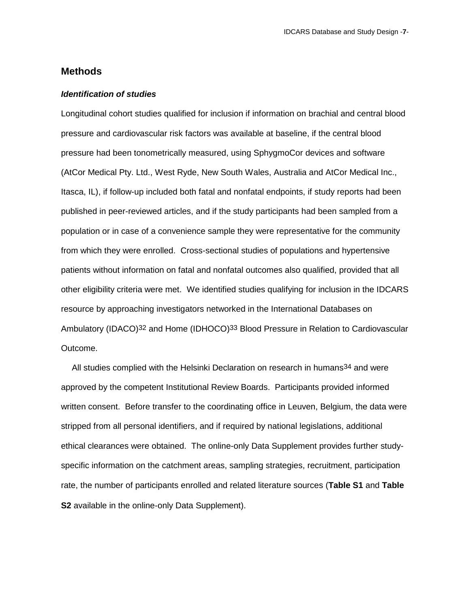## **Methods**

#### *Identification of studies*

Longitudinal cohort studies qualified for inclusion if information on brachial and central blood pressure and cardiovascular risk factors was available at baseline, if the central blood pressure had been tonometrically measured, using SphygmoCor devices and software (AtCor Medical Pty. Ltd., West Ryde, New South Wales, Australia and AtCor Medical Inc., Itasca, IL), if follow-up included both fatal and nonfatal endpoints, if study reports had been published in peer-reviewed articles, and if the study participants had been sampled from a population or in case of a convenience sample they were representative for the community from which they were enrolled. Cross-sectional studies of populations and hypertensive patients without information on fatal and nonfatal outcomes also qualified, provided that all other eligibility criteria were met. We identified studies qualifying for inclusion in the IDCARS resource by approaching investigators networked in the International Databases on Ambulatory (IDACO)<sup>32</sup> and Home (IDHOCO)<sup>33</sup> Blood Pressure in Relation to Cardiovascular Outcome.

All studies complied with the Helsinki Declaration on research in humans<sup>34</sup> and were approved by the competent Institutional Review Boards. Participants provided informed written consent. Before transfer to the coordinating office in Leuven, Belgium, the data were stripped from all personal identifiers, and if required by national legislations, additional ethical clearances were obtained. The online-only Data Supplement provides further studyspecific information on the catchment areas, sampling strategies, recruitment, participation rate, the number of participants enrolled and related literature sources (**Table S1** and **Table S2** available in the online-only Data Supplement).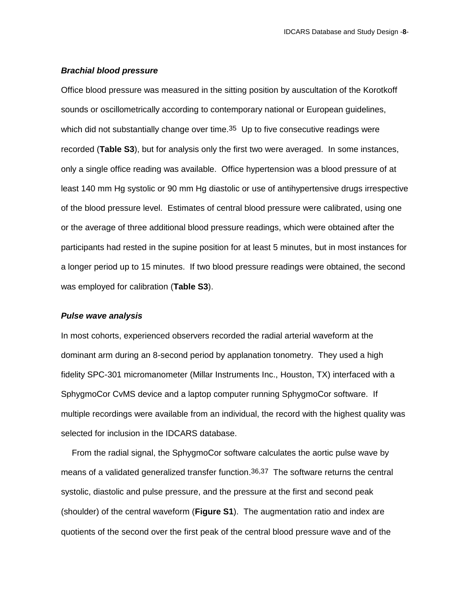#### *Brachial blood pressure*

Office blood pressure was measured in the sitting position by auscultation of the Korotkoff sounds or oscillometrically according to contemporary national or European guidelines, which did not substantially change over time.<sup>35</sup> Up to five consecutive readings were recorded (**Table S3**), but for analysis only the first two were averaged. In some instances, only a single office reading was available. Office hypertension was a blood pressure of at least 140 mm Hg systolic or 90 mm Hg diastolic or use of antihypertensive drugs irrespective of the blood pressure level. Estimates of central blood pressure were calibrated, using one or the average of three additional blood pressure readings, which were obtained after the participants had rested in the supine position for at least 5 minutes, but in most instances for a longer period up to 15 minutes. If two blood pressure readings were obtained, the second was employed for calibration (**Table S3**).

#### *Pulse wave analysis*

In most cohorts, experienced observers recorded the radial arterial waveform at the dominant arm during an 8-second period by applanation tonometry. They used a high fidelity SPC-301 micromanometer (Millar Instruments Inc., Houston, TX) interfaced with a SphygmoCor CvMS device and a laptop computer running SphygmoCor software. If multiple recordings were available from an individual, the record with the highest quality was selected for inclusion in the IDCARS database.

From the radial signal, the SphygmoCor software calculates the aortic pulse wave by means of a validated generalized transfer function.36,37 The software returns the central systolic, diastolic and pulse pressure, and the pressure at the first and second peak (shoulder) of the central waveform (**Figure S1**). The augmentation ratio and index are quotients of the second over the first peak of the central blood pressure wave and of the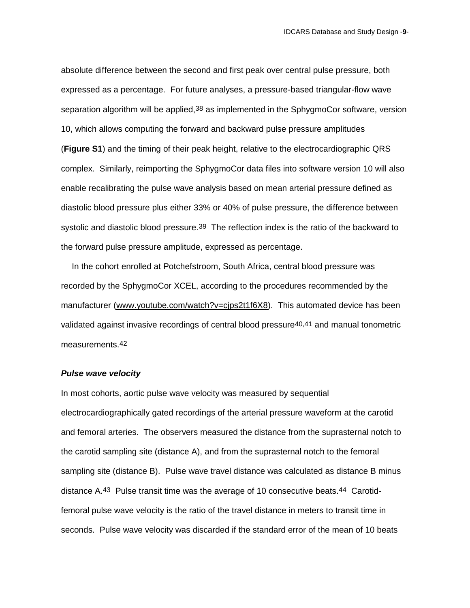absolute difference between the second and first peak over central pulse pressure, both expressed as a percentage. For future analyses, a pressure-based triangular-flow wave separation algorithm will be applied, 38 as implemented in the SphygmoCor software, version 10, which allows computing the forward and backward pulse pressure amplitudes (**Figure S1**) and the timing of their peak height, relative to the electrocardiographic QRS complex. Similarly, reimporting the SphygmoCor data files into software version 10 will also enable recalibrating the pulse wave analysis based on mean arterial pressure defined as diastolic blood pressure plus either 33% or 40% of pulse pressure, the difference between systolic and diastolic blood pressure.<sup>39</sup> The reflection index is the ratio of the backward to the forward pulse pressure amplitude, expressed as percentage.

In the cohort enrolled at Potchefstroom, South Africa, central blood pressure was recorded by the SphygmoCor XCEL, according to the procedures recommended by the manufacturer [\(www.youtube.com/watch?v=cjps2t1f6X8\)](http://www.youtube.com/watch?v=cjps2t1f6X8). This automated device has been validated against invasive recordings of central blood pressure40,41 and manual tonometric measurements.42

#### *Pulse wave velocity*

In most cohorts, aortic pulse wave velocity was measured by sequential electrocardiographically gated recordings of the arterial pressure waveform at the carotid and femoral arteries. The observers measured the distance from the suprasternal notch to the carotid sampling site (distance A), and from the suprasternal notch to the femoral sampling site (distance B). Pulse wave travel distance was calculated as distance B minus distance A.43 Pulse transit time was the average of 10 consecutive beats.44 Carotidfemoral pulse wave velocity is the ratio of the travel distance in meters to transit time in seconds. Pulse wave velocity was discarded if the standard error of the mean of 10 beats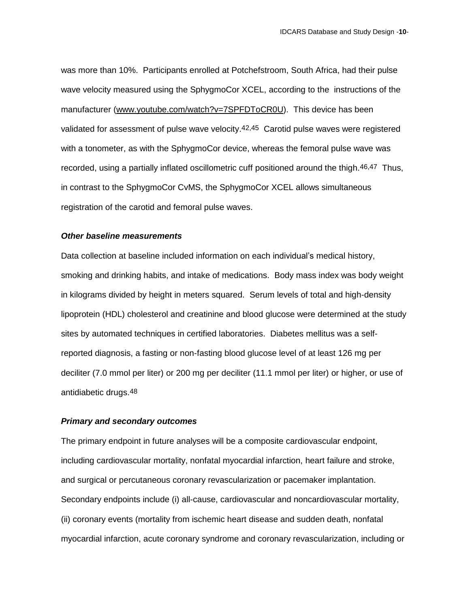was more than 10%. Participants enrolled at Potchefstroom, South Africa, had their pulse wave velocity measured using the SphygmoCor XCEL, according to the instructions of the manufacturer [\(www.youtube.com/watch?v=7SPFDToCR0U\)](http://www.youtube.com/watch?v=7SPFDToCR0U). This device has been validated for assessment of pulse wave velocity.42,45 Carotid pulse waves were registered with a tonometer, as with the SphygmoCor device, whereas the femoral pulse wave was recorded, using a partially inflated oscillometric cuff positioned around the thigh.46,47 Thus, in contrast to the SphygmoCor CvMS, the SphygmoCor XCEL allows simultaneous registration of the carotid and femoral pulse waves.

## *Other baseline measurements*

Data collection at baseline included information on each individual's medical history, smoking and drinking habits, and intake of medications. Body mass index was body weight in kilograms divided by height in meters squared. Serum levels of total and high-density lipoprotein (HDL) cholesterol and creatinine and blood glucose were determined at the study sites by automated techniques in certified laboratories. Diabetes mellitus was a selfreported diagnosis, a fasting or non-fasting blood glucose level of at least 126 mg per deciliter (7.0 mmol per liter) or 200 mg per deciliter (11.1 mmol per liter) or higher, or use of antidiabetic drugs.48

#### *Primary and secondary outcomes*

The primary endpoint in future analyses will be a composite cardiovascular endpoint, including cardiovascular mortality, nonfatal myocardial infarction, heart failure and stroke, and surgical or percutaneous coronary revascularization or pacemaker implantation. Secondary endpoints include (i) all-cause, cardiovascular and noncardiovascular mortality, (ii) coronary events (mortality from ischemic heart disease and sudden death, nonfatal myocardial infarction, acute coronary syndrome and coronary revascularization, including or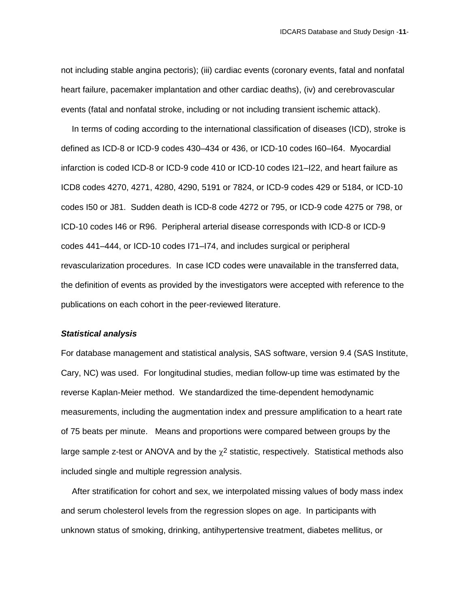not including stable angina pectoris); (iii) cardiac events (coronary events, fatal and nonfatal heart failure, pacemaker implantation and other cardiac deaths), (iv) and cerebrovascular events (fatal and nonfatal stroke, including or not including transient ischemic attack).

In terms of coding according to the international classification of diseases (ICD), stroke is defined as ICD-8 or ICD-9 codes 430–434 or 436, or ICD-10 codes I60–I64. Myocardial infarction is coded ICD-8 or ICD-9 code 410 or ICD-10 codes I21–I22, and heart failure as ICD8 codes 4270, 4271, 4280, 4290, 5191 or 7824, or ICD-9 codes 429 or 5184, or ICD-10 codes I50 or J81. Sudden death is ICD-8 code 4272 or 795, or ICD-9 code 4275 or 798, or ICD-10 codes I46 or R96. Peripheral arterial disease corresponds with ICD-8 or ICD-9 codes 441–444, or ICD-10 codes I71–I74, and includes surgical or peripheral revascularization procedures. In case ICD codes were unavailable in the transferred data, the definition of events as provided by the investigators were accepted with reference to the publications on each cohort in the peer-reviewed literature.

## *Statistical analysis*

For database management and statistical analysis, SAS software, version 9.4 (SAS Institute, Cary, NC) was used. For longitudinal studies, median follow-up time was estimated by the reverse Kaplan-Meier method. We standardized the time-dependent hemodynamic measurements, including the augmentation index and pressure amplification to a heart rate of 75 beats per minute. Means and proportions were compared between groups by the large sample z-test or ANOVA and by the  $\chi^2$  statistic, respectively. Statistical methods also included single and multiple regression analysis.

After stratification for cohort and sex, we interpolated missing values of body mass index and serum cholesterol levels from the regression slopes on age. In participants with unknown status of smoking, drinking, antihypertensive treatment, diabetes mellitus, or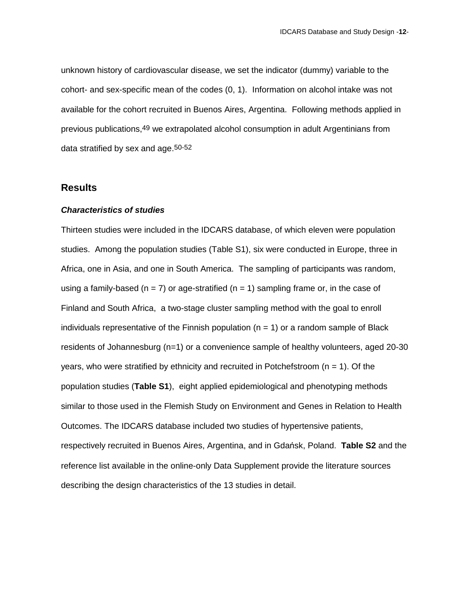unknown history of cardiovascular disease, we set the indicator (dummy) variable to the cohort- and sex-specific mean of the codes (0, 1). Information on alcohol intake was not available for the cohort recruited in Buenos Aires, Argentina. Following methods applied in previous publications,49 we extrapolated alcohol consumption in adult Argentinians from data stratified by sex and age.50-52

## **Results**

#### *Characteristics of studies*

Thirteen studies were included in the IDCARS database, of which eleven were population studies. Among the population studies (Table S1), six were conducted in Europe, three in Africa, one in Asia, and one in South America. The sampling of participants was random, using a family-based ( $n = 7$ ) or age-stratified ( $n = 1$ ) sampling frame or, in the case of Finland and South Africa, a two-stage cluster sampling method with the goal to enroll individuals representative of the Finnish population ( $n = 1$ ) or a random sample of Black residents of Johannesburg (n=1) or a convenience sample of healthy volunteers, aged 20-30 years, who were stratified by ethnicity and recruited in Potchefstroom ( $n = 1$ ). Of the population studies (**Table S1**), eight applied epidemiological and phenotyping methods similar to those used in the Flemish Study on Environment and Genes in Relation to Health Outcomes. The IDCARS database included two studies of hypertensive patients, respectively recruited in Buenos Aires, Argentina, and in Gdańsk, Poland. **Table S2** and the reference list available in the online-only Data Supplement provide the literature sources describing the design characteristics of the 13 studies in detail.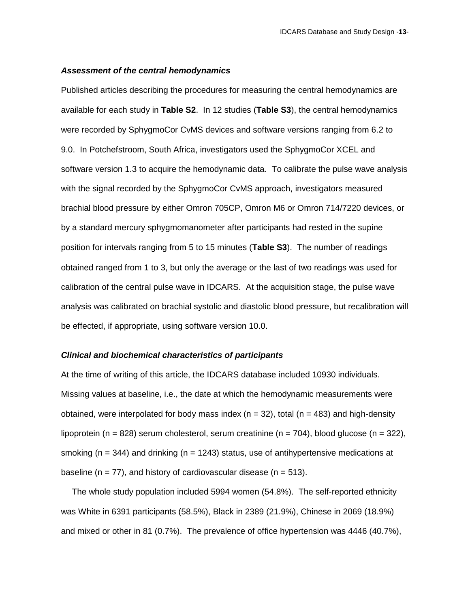#### *Assessment of the central hemodynamics*

Published articles describing the procedures for measuring the central hemodynamics are available for each study in **Table S2**. In 12 studies (**Table S3**), the central hemodynamics were recorded by SphygmoCor CvMS devices and software versions ranging from 6.2 to 9.0. In Potchefstroom, South Africa, investigators used the SphygmoCor XCEL and software version 1.3 to acquire the hemodynamic data. To calibrate the pulse wave analysis with the signal recorded by the SphygmoCor CvMS approach, investigators measured brachial blood pressure by either Omron 705CP, Omron M6 or Omron 714/7220 devices, or by a standard mercury sphygmomanometer after participants had rested in the supine position for intervals ranging from 5 to 15 minutes (**Table S3**). The number of readings obtained ranged from 1 to 3, but only the average or the last of two readings was used for calibration of the central pulse wave in IDCARS. At the acquisition stage, the pulse wave analysis was calibrated on brachial systolic and diastolic blood pressure, but recalibration will be effected, if appropriate, using software version 10.0.

#### *Clinical and biochemical characteristics of participants*

At the time of writing of this article, the IDCARS database included 10930 individuals. Missing values at baseline, i.e., the date at which the hemodynamic measurements were obtained, were interpolated for body mass index ( $n = 32$ ), total ( $n = 483$ ) and high-density lipoprotein (n = 828) serum cholesterol, serum creatinine (n = 704), blood glucose (n = 322), smoking ( $n = 344$ ) and drinking ( $n = 1243$ ) status, use of antihypertensive medications at baseline ( $n = 77$ ), and history of cardiovascular disease ( $n = 513$ ).

The whole study population included 5994 women (54.8%). The self-reported ethnicity was White in 6391 participants (58.5%), Black in 2389 (21.9%), Chinese in 2069 (18.9%) and mixed or other in 81 (0.7%). The prevalence of office hypertension was 4446 (40.7%),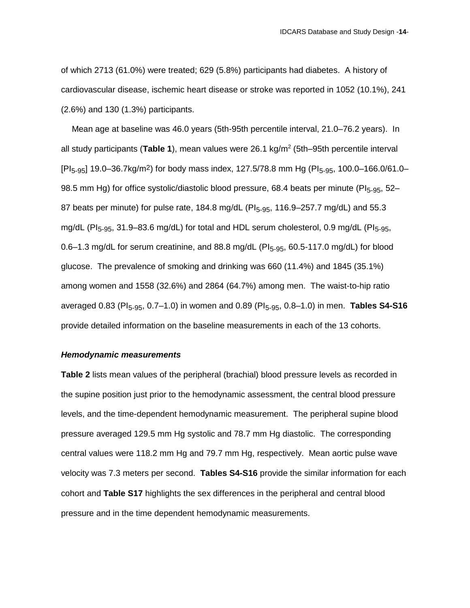of which 2713 (61.0%) were treated; 629 (5.8%) participants had diabetes. A history of cardiovascular disease, ischemic heart disease or stroke was reported in 1052 (10.1%), 241 (2.6%) and 130 (1.3%) participants.

Mean age at baseline was 46.0 years (5th-95th percentile interval, 21.0–76.2 years). In all study participants (Table 1), mean values were 26.1 kg/m<sup>2</sup> (5th–95th percentile interval  $[P|_{5-95}]$  19.0–36.7kg/m<sup>2</sup>) for body mass index, 127.5/78.8 mm Hg ( $[P|_{5-95}$ , 100.0–166.0/61.0– 98.5 mm Hg) for office systolic/diastolic blood pressure, 68.4 beats per minute (PI<sub>5-95</sub>, 52– 87 beats per minute) for pulse rate, 184.8 mg/dL ( $PI<sub>5-95</sub>$ , 116.9–257.7 mg/dL) and 55.3 mg/dL (PI<sub>5-95</sub>, 31.9–83.6 mg/dL) for total and HDL serum cholesterol, 0.9 mg/dL (PI<sub>5-95</sub>, 0.6–1.3 mg/dL for serum creatinine, and 88.8 mg/dL ( $PI<sub>5-95</sub>$ , 60.5-117.0 mg/dL) for blood glucose. The prevalence of smoking and drinking was 660 (11.4%) and 1845 (35.1%) among women and 1558 (32.6%) and 2864 (64.7%) among men. The waist-to-hip ratio averaged 0.83 (PI<sub>5-95</sub>, 0.7–1.0) in women and 0.89 (PI<sub>5-95</sub>, 0.8–1.0) in men. **Tables S4-S16** provide detailed information on the baseline measurements in each of the 13 cohorts.

#### *Hemodynamic measurements*

**Table 2** lists mean values of the peripheral (brachial) blood pressure levels as recorded in the supine position just prior to the hemodynamic assessment, the central blood pressure levels, and the time-dependent hemodynamic measurement. The peripheral supine blood pressure averaged 129.5 mm Hg systolic and 78.7 mm Hg diastolic. The corresponding central values were 118.2 mm Hg and 79.7 mm Hg, respectively. Mean aortic pulse wave velocity was 7.3 meters per second. **Tables S4-S16** provide the similar information for each cohort and **Table S17** highlights the sex differences in the peripheral and central blood pressure and in the time dependent hemodynamic measurements.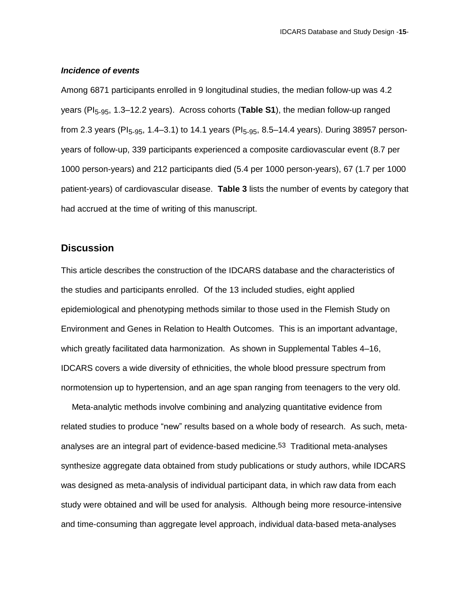#### *Incidence of events*

Among 6871 participants enrolled in 9 longitudinal studies, the median follow-up was 4.2 years (PI<sub>5-95</sub>, 1.3–12.2 years). Across cohorts (Table S1), the median follow-up ranged from 2.3 years (PI<sub>5-95</sub>, 1.4–3.1) to 14.1 years (PI<sub>5-95</sub>, 8.5–14.4 years). During 38957 personyears of follow-up, 339 participants experienced a composite cardiovascular event (8.7 per 1000 person-years) and 212 participants died (5.4 per 1000 person-years), 67 (1.7 per 1000 patient-years) of cardiovascular disease. **Table 3** lists the number of events by category that had accrued at the time of writing of this manuscript.

## **Discussion**

This article describes the construction of the IDCARS database and the characteristics of the studies and participants enrolled. Of the 13 included studies, eight applied epidemiological and phenotyping methods similar to those used in the Flemish Study on Environment and Genes in Relation to Health Outcomes. This is an important advantage, which greatly facilitated data harmonization. As shown in Supplemental Tables 4–16, IDCARS covers a wide diversity of ethnicities, the whole blood pressure spectrum from normotension up to hypertension, and an age span ranging from teenagers to the very old.

Meta-analytic methods involve combining and analyzing quantitative evidence from related studies to produce "new" results based on a whole body of research. As such, metaanalyses are an integral part of evidence-based medicine.53 Traditional meta-analyses synthesize aggregate data obtained from study publications or study authors, while IDCARS was designed as meta-analysis of individual participant data, in which raw data from each study were obtained and will be used for analysis. Although being more resource-intensive and time-consuming than aggregate level approach, individual data-based meta-analyses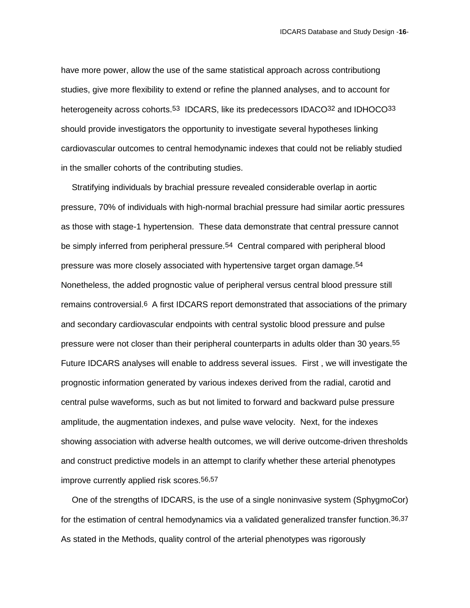have more power, allow the use of the same statistical approach across contributiong studies, give more flexibility to extend or refine the planned analyses, and to account for heterogeneity across cohorts.<sup>53</sup> IDCARS, like its predecessors IDACO<sup>32</sup> and IDHOCO<sup>33</sup> should provide investigators the opportunity to investigate several hypotheses linking cardiovascular outcomes to central hemodynamic indexes that could not be reliably studied in the smaller cohorts of the contributing studies.

Stratifying individuals by brachial pressure revealed considerable overlap in aortic pressure, 70% of individuals with high-normal brachial pressure had similar aortic pressures as those with stage-1 hypertension. These data demonstrate that central pressure cannot be simply inferred from peripheral pressure.54 Central compared with peripheral blood pressure was more closely associated with hypertensive target organ damage.54 Nonetheless, the added prognostic value of peripheral versus central blood pressure still remains controversial.6 A first IDCARS report demonstrated that associations of the primary and secondary cardiovascular endpoints with central systolic blood pressure and pulse pressure were not closer than their peripheral counterparts in adults older than 30 years.55 Future IDCARS analyses will enable to address several issues. First , we will investigate the prognostic information generated by various indexes derived from the radial, carotid and central pulse waveforms, such as but not limited to forward and backward pulse pressure amplitude, the augmentation indexes, and pulse wave velocity. Next, for the indexes showing association with adverse health outcomes, we will derive outcome-driven thresholds and construct predictive models in an attempt to clarify whether these arterial phenotypes improve currently applied risk scores.56,57

One of the strengths of IDCARS, is the use of a single noninvasive system (SphygmoCor) for the estimation of central hemodynamics via a validated generalized transfer function.36,37 As stated in the Methods, quality control of the arterial phenotypes was rigorously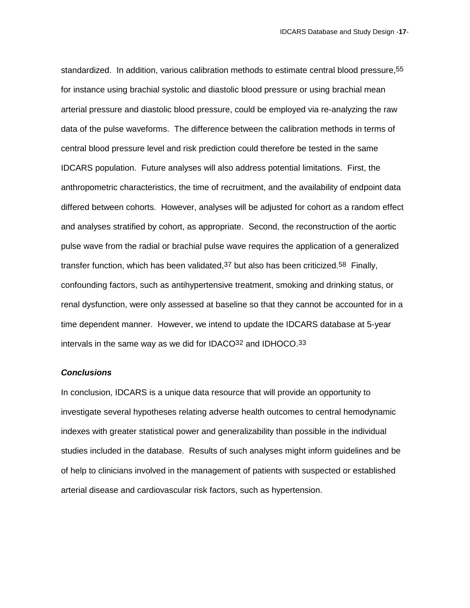standardized. In addition, various calibration methods to estimate central blood pressure,55 for instance using brachial systolic and diastolic blood pressure or using brachial mean arterial pressure and diastolic blood pressure, could be employed via re-analyzing the raw data of the pulse waveforms. The difference between the calibration methods in terms of central blood pressure level and risk prediction could therefore be tested in the same IDCARS population. Future analyses will also address potential limitations. First, the anthropometric characteristics, the time of recruitment, and the availability of endpoint data differed between cohorts. However, analyses will be adjusted for cohort as a random effect and analyses stratified by cohort, as appropriate. Second, the reconstruction of the aortic pulse wave from the radial or brachial pulse wave requires the application of a generalized transfer function, which has been validated,  $37$  but also has been criticized.  $58$  Finally, confounding factors, such as antihypertensive treatment, smoking and drinking status, or renal dysfunction, were only assessed at baseline so that they cannot be accounted for in a time dependent manner. However, we intend to update the IDCARS database at 5-year intervals in the same way as we did for IDACO32 and IDHOCO.33

#### *Conclusions*

In conclusion, IDCARS is a unique data resource that will provide an opportunity to investigate several hypotheses relating adverse health outcomes to central hemodynamic indexes with greater statistical power and generalizability than possible in the individual studies included in the database. Results of such analyses might inform guidelines and be of help to clinicians involved in the management of patients with suspected or established arterial disease and cardiovascular risk factors, such as hypertension.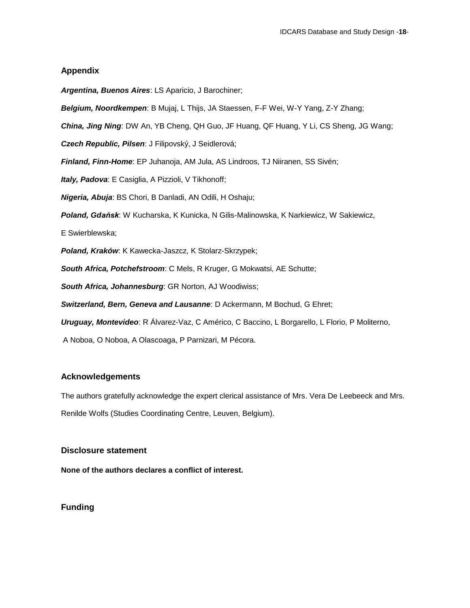## **Appendix**

*Argentina, Buenos Aires*: LS Aparicio, J Barochiner;

*Belgium, Noordkempen*: B Mujaj, L Thijs, JA Staessen, F-F Wei, W-Y Yang, Z-Y Zhang;

*China, Jing Ning*: DW An, YB Cheng, QH Guo, JF Huang, QF Huang, Y Li, CS Sheng, JG Wang;

*Czech Republic, Pilsen*: J Filipovský, J Seidlerová;

*Finland, Finn-Home*: EP Juhanoja, AM Jula, AS Lindroos, TJ Niiranen, SS Sivén;

*Italy, Padova*: E Casiglia, A Pizzioli, V Tikhonoff;

*Nigeria, Abuja*: BS Chori, B Danladi, AN Odili, H Oshaju;

*Poland, Gdańsk*: W Kucharska, K Kunicka, N Gilis-Malinowska, K Narkiewicz, W Sakiewicz,

E Swierblewska;

*Poland, Kraków*: K Kawecka-Jaszcz, K Stolarz-Skrzypek;

*South Africa, Potchefstroom*: C Mels, R Kruger, G Mokwatsi, AE Schutte;

*South Africa, Johannesburg*: GR Norton, AJ Woodiwiss;

*Switzerland, Bern, Geneva and Lausanne*: D Ackermann, M Bochud, G Ehret;

*Uruguay, Montevideo*: R Álvarez-Vaz, C Américo, C Baccino, L Borgarello, L Florio, P Moliterno,

A Noboa, O Noboa, A Olascoaga, P Parnizari, M Pécora.

## **Acknowledgements**

The authors gratefully acknowledge the expert clerical assistance of Mrs. Vera De Leebeeck and Mrs.

Renilde Wolfs (Studies Coordinating Centre, Leuven, Belgium).

## **Disclosure statement**

**None of the authors declares a conflict of interest.**

**Funding**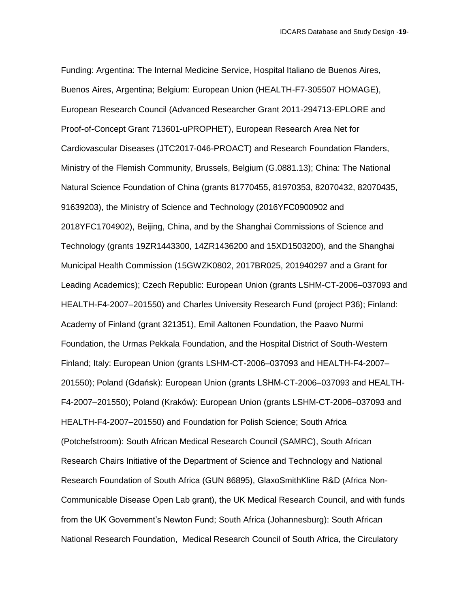Funding: Argentina: The Internal Medicine Service, Hospital Italiano de Buenos Aires, Buenos Aires, Argentina; Belgium: European Union (HEALTH-F7-305507 HOMAGE), European Research Council (Advanced Researcher Grant 2011-294713-EPLORE and Proof-of-Concept Grant 713601-uPROPHET), European Research Area Net for Cardiovascular Diseases (JTC2017-046-PROACT) and Research Foundation Flanders, Ministry of the Flemish Community, Brussels, Belgium (G.0881.13); China: The National Natural Science Foundation of China (grants 81770455, 81970353, 82070432, 82070435, 91639203), the Ministry of Science and Technology (2016YFC0900902 and 2018YFC1704902), Beijing, China, and by the Shanghai Commissions of Science and Technology (grants 19ZR1443300, 14ZR1436200 and 15XD1503200), and the Shanghai Municipal Health Commission (15GWZK0802, 2017BR025, 201940297 and a Grant for Leading Academics); Czech Republic: European Union (grants LSHM-CT-2006–037093 and HEALTH-F4-2007–201550) and Charles University Research Fund (project P36); Finland: Academy of Finland (grant 321351), Emil Aaltonen Foundation, the Paavo Nurmi Foundation, the Urmas Pekkala Foundation, and the Hospital District of South-Western Finland; Italy: European Union (grants LSHM-CT-2006–037093 and HEALTH-F4-2007– 201550); Poland (Gdańsk): European Union (grants LSHM-CT-2006–037093 and HEALTH-F4-2007–201550); Poland (Kraków): European Union (grants LSHM-CT-2006–037093 and HEALTH-F4-2007–201550) and Foundation for Polish Science; South Africa (Potchefstroom): South African Medical Research Council (SAMRC), South African Research Chairs Initiative of the Department of Science and Technology and National Research Foundation of South Africa (GUN 86895), GlaxoSmithKline R&D (Africa Non-Communicable Disease Open Lab grant), the UK Medical Research Council, and with funds from the UK Government's Newton Fund; South Africa (Johannesburg): South African National Research Foundation, Medical Research Council of South Africa, the Circulatory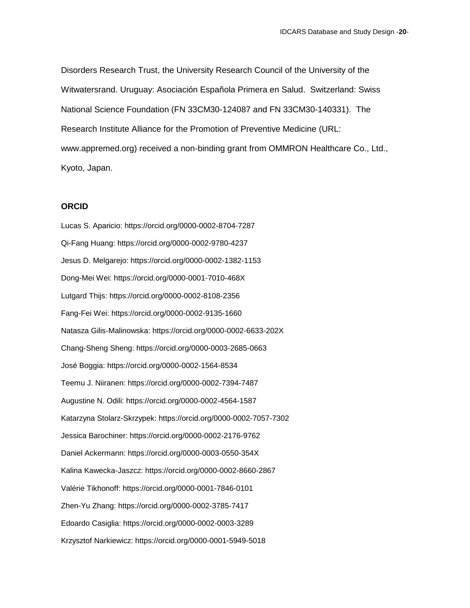Disorders Research Trust, the University Research Council of the University of the Witwatersrand. Uruguay: Asociación Española Primera en Salud. Switzerland: Swiss National Science Foundation (FN 33CM30-124087 and FN 33CM30-140331). The Research Institute Alliance for the Promotion of Preventive Medicine (URL: www.appremed.org) received a non-binding grant from OMMRON Healthcare Co., Ltd., Kyoto, Japan.

## **ORCID**

Lucas S. Aparicio: https://orcid.org/0000-0002-8704-7287 Qi-Fang Huang: https://orcid.org/0000-0002-9780-4237 Jesus D. Melgarejo: https://orcid.org/0000-0002-1382-1153 Dong-Mei Wei: https://orcid.org/0000-0001-7010-468X Lutgard Thijs: https://orcid.org/0000-0002-8108-2356 Fang-Fei Wei: https://orcid.org/0000-0002-9135-1660 Natasza Gilis-Malinowska: https://orcid.org/0000-0002-6633-202X Chang-Sheng Sheng: https://orcid.org/0000-0003-2685-0663 José Boggia: https://orcid.org/0000-0002-1564-8534 Teemu J. Niiranen: https://orcid.org/0000-0002-7394-7487 Augustine N. Odili: https://orcid.org/0000-0002-4564-1587 Katarzyna Stolarz-Skrzypek: https://orcid.org/0000-0002-7057-7302 Jessica Barochiner: https://orcid.org/0000-0002-2176-9762 Daniel Ackermann: https://orcid.org/0000-0003-0550-354X Kalina Kawecka-Jaszcz: https://orcid.org/0000-0002-8660-2867 Valérie Tikhonoff: https://orcid.org/0000-0001-7846-0101 Zhen-Yu Zhang: https://orcid.org/0000-0002-3785-7417 Edoardo Casiglia: https://orcid.org/0000-0002-0003-3289 Krzysztof Narkiewicz: https://orcid.org/0000-0001-5949-5018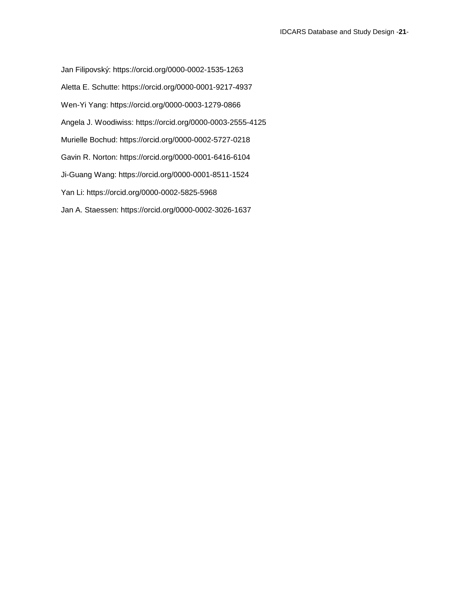Jan Filipovský: https://orcid.org/0000-0002-1535-1263 Aletta E. Schutte: https://orcid.org/0000-0001-9217-4937 Wen-Yi Yang: https://orcid.org/0000-0003-1279-0866 Angela J. Woodiwiss: <https://orcid.org/0000-0003-2555-4125> Murielle Bochud: https://orcid.org/0000-0002-5727-0218 Gavin R. Norton: https://orcid.org/0000-0001-6416-6104 Ji-Guang Wang: https://orcid.org/0000-0001-8511-1524 Yan Li: https://orcid.org/0000-0002-5825-5968 Jan A. Staessen: https://orcid.org/0000-0002-3026-1637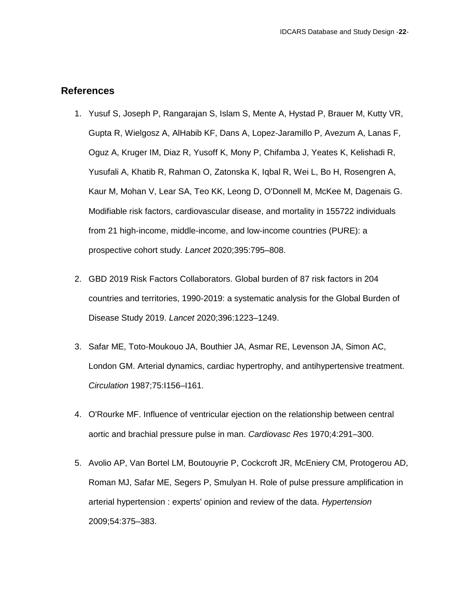## **References**

- 1. Yusuf S, Joseph P, Rangarajan S, Islam S, Mente A, Hystad P, Brauer M, Kutty VR, Gupta R, Wielgosz A, AlHabib KF, Dans A, Lopez-Jaramillo P, Avezum A, Lanas F, Oguz A, Kruger IM, Diaz R, Yusoff K, Mony P, Chifamba J, Yeates K, Kelishadi R, Yusufali A, Khatib R, Rahman O, Zatonska K, Iqbal R, Wei L, Bo H, Rosengren A, Kaur M, Mohan V, Lear SA, Teo KK, Leong D, O'Donnell M, McKee M, Dagenais G. Modifiable risk factors, cardiovascular disease, and mortality in 155722 individuals from 21 high-income, middle-income, and low-income countries (PURE): a prospective cohort study. *Lancet* 2020;395:795–808.
- 2. GBD 2019 Risk Factors Collaborators. Global burden of 87 risk factors in 204 countries and territories, 1990-2019: a systematic analysis for the Global Burden of Disease Study 2019. *Lancet* 2020;396:1223–1249.
- 3. Safar ME, Toto-Moukouo JA, Bouthier JA, Asmar RE, Levenson JA, Simon AC, London GM. Arterial dynamics, cardiac hypertrophy, and antihypertensive treatment. *Circulation* 1987;75:I156–I161.
- 4. O'Rourke MF. Influence of ventricular ejection on the relationship between central aortic and brachial pressure pulse in man. *Cardiovasc Res* 1970;4:291–300.
- 5. Avolio AP, Van Bortel LM, Boutouyrie P, Cockcroft JR, McEniery CM, Protogerou AD, Roman MJ, Safar ME, Segers P, Smulyan H. Role of pulse pressure amplification in arterial hypertension : experts' opinion and review of the data. *Hypertension* 2009;54:375–383.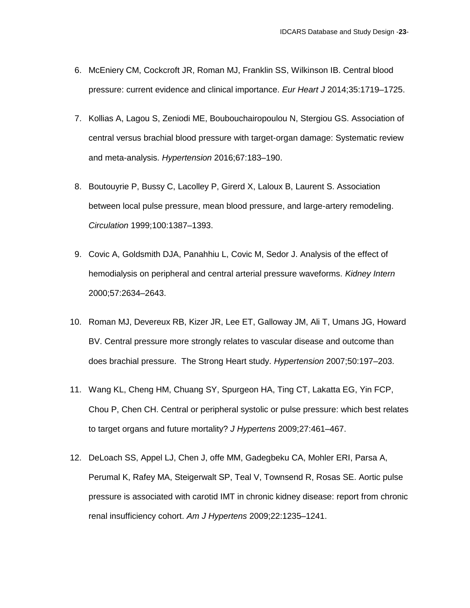- 6. McEniery CM, Cockcroft JR, Roman MJ, Franklin SS, Wilkinson IB. Central blood pressure: current evidence and clinical importance. *Eur Heart J* 2014;35:1719–1725.
- 7. Kollias A, Lagou S, Zeniodi ME, Boubouchairopoulou N, Stergiou GS. Association of central versus brachial blood pressure with target-organ damage: Systematic review and meta-analysis. *Hypertension* 2016;67:183–190.
- 8. Boutouyrie P, Bussy C, Lacolley P, Girerd X, Laloux B, Laurent S. Association between local pulse pressure, mean blood pressure, and large-artery remodeling. *Circulation* 1999;100:1387–1393.
- 9. Covic A, Goldsmith DJA, Panahhiu L, Covic M, Sedor J. Analysis of the effect of hemodialysis on peripheral and central arterial pressure waveforms. *Kidney Intern* 2000;57:2634–2643.
- 10. Roman MJ, Devereux RB, Kizer JR, Lee ET, Galloway JM, Ali T, Umans JG, Howard BV. Central pressure more strongly relates to vascular disease and outcome than does brachial pressure. The Strong Heart study. *Hypertension* 2007;50:197–203.
- 11. Wang KL, Cheng HM, Chuang SY, Spurgeon HA, Ting CT, Lakatta EG, Yin FCP, Chou P, Chen CH. Central or peripheral systolic or pulse pressure: which best relates to target organs and future mortality? *J Hypertens* 2009;27:461–467.
- 12. DeLoach SS, Appel LJ, Chen J, offe MM, Gadegbeku CA, Mohler ERI, Parsa A, Perumal K, Rafey MA, Steigerwalt SP, Teal V, Townsend R, Rosas SE. Aortic pulse pressure is associated with carotid IMT in chronic kidney disease: report from chronic renal insufficiency cohort. *Am J Hypertens* 2009;22:1235–1241.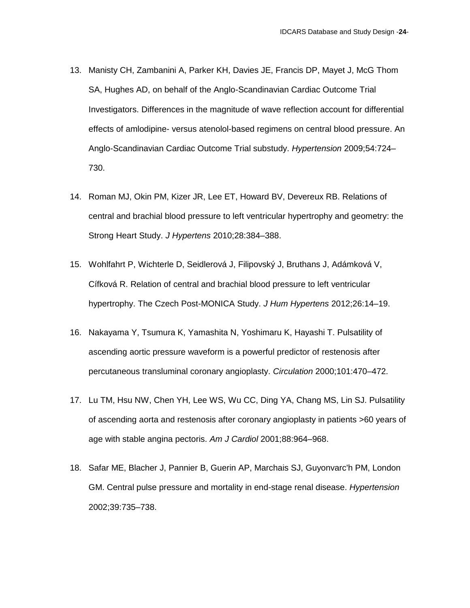- 13. Manisty CH, Zambanini A, Parker KH, Davies JE, Francis DP, Mayet J, McG Thom SA, Hughes AD, on behalf of the Anglo-Scandinavian Cardiac Outcome Trial Investigators. Differences in the magnitude of wave reflection account for differential effects of amlodipine- versus atenolol-based regimens on central blood pressure. An Anglo-Scandinavian Cardiac Outcome Trial substudy. *Hypertension* 2009;54:724– 730.
- 14. Roman MJ, Okin PM, Kizer JR, Lee ET, Howard BV, Devereux RB. Relations of central and brachial blood pressure to left ventricular hypertrophy and geometry: the Strong Heart Study. *J Hypertens* 2010;28:384–388.
- 15. Wohlfahrt P, Wichterle D, Seidlerová J, Filipovský J, Bruthans J, Adámková V, Cífková R. Relation of central and brachial blood pressure to left ventricular hypertrophy. The Czech Post-MONICA Study. *J Hum Hypertens* 2012;26:14–19.
- 16. Nakayama Y, Tsumura K, Yamashita N, Yoshimaru K, Hayashi T. Pulsatility of ascending aortic pressure waveform is a powerful predictor of restenosis after percutaneous transluminal coronary angioplasty. *Circulation* 2000;101:470–472.
- 17. Lu TM, Hsu NW, Chen YH, Lee WS, Wu CC, Ding YA, Chang MS, Lin SJ. Pulsatility of ascending aorta and restenosis after coronary angioplasty in patients >60 years of age with stable angina pectoris. *Am J Cardiol* 2001;88:964–968.
- 18. Safar ME, Blacher J, Pannier B, Guerin AP, Marchais SJ, Guyonvarc'h PM, London GM. Central pulse pressure and mortality in end-stage renal disease. *Hypertension* 2002;39:735–738.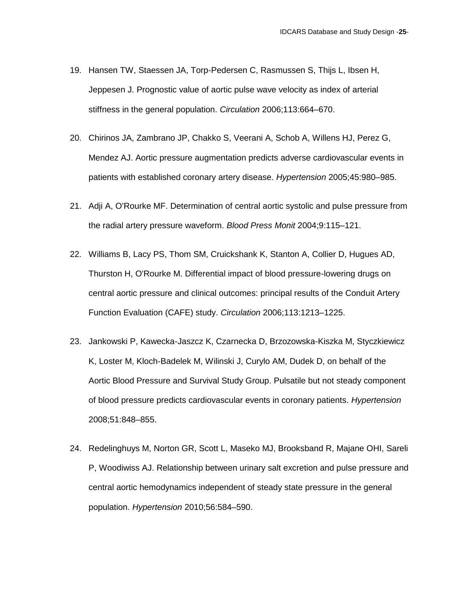- 19. Hansen TW, Staessen JA, Torp-Pedersen C, Rasmussen S, Thijs L, Ibsen H, Jeppesen J. Prognostic value of aortic pulse wave velocity as index of arterial stiffness in the general population. *Circulation* 2006;113:664–670.
- 20. Chirinos JA, Zambrano JP, Chakko S, Veerani A, Schob A, Willens HJ, Perez G, Mendez AJ. Aortic pressure augmentation predicts adverse cardiovascular events in patients with established coronary artery disease. *Hypertension* 2005;45:980–985.
- 21. Adji A, O'Rourke MF. Determination of central aortic systolic and pulse pressure from the radial artery pressure waveform. *Blood Press Monit* 2004;9:115–121.
- 22. Williams B, Lacy PS, Thom SM, Cruickshank K, Stanton A, Collier D, Hugues AD, Thurston H, O'Rourke M. Differential impact of blood pressure-lowering drugs on central aortic pressure and clinical outcomes: principal results of the Conduit Artery Function Evaluation (CAFE) study. *Circulation* 2006;113:1213–1225.
- 23. Jankowski P, Kawecka-Jaszcz K, Czarnecka D, Brzozowska-Kiszka M, Styczkiewicz K, Loster M, Kloch-Badelek M, Wilinski J, Curylo AM, Dudek D, on behalf of the Aortic Blood Pressure and Survival Study Group. Pulsatile but not steady component of blood pressure predicts cardiovascular events in coronary patients. *Hypertension* 2008;51:848–855.
- 24. Redelinghuys M, Norton GR, Scott L, Maseko MJ, Brooksband R, Majane OHI, Sareli P, Woodiwiss AJ. Relationship between urinary salt excretion and pulse pressure and central aortic hemodynamics independent of steady state pressure in the general population. *Hypertension* 2010;56:584–590.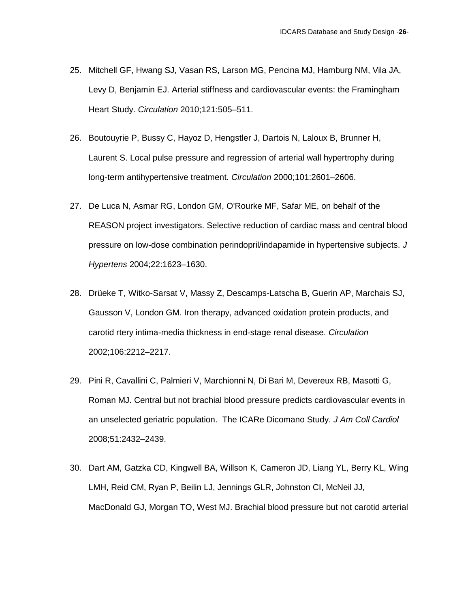- 25. Mitchell GF, Hwang SJ, Vasan RS, Larson MG, Pencina MJ, Hamburg NM, Vila JA, Levy D, Benjamin EJ. Arterial stiffness and cardiovascular events: the Framingham Heart Study. *Circulation* 2010;121:505–511.
- 26. Boutouyrie P, Bussy C, Hayoz D, Hengstler J, Dartois N, Laloux B, Brunner H, Laurent S. Local pulse pressure and regression of arterial wall hypertrophy during long-term antihypertensive treatment. *Circulation* 2000;101:2601–2606.
- 27. De Luca N, Asmar RG, London GM, O'Rourke MF, Safar ME, on behalf of the REASON project investigators. Selective reduction of cardiac mass and central blood pressure on low-dose combination perindopril/indapamide in hypertensive subjects. *J Hypertens* 2004;22:1623–1630.
- 28. Drüeke T, Witko-Sarsat V, Massy Z, Descamps-Latscha B, Guerin AP, Marchais SJ, Gausson V, London GM. Iron therapy, advanced oxidation protein products, and carotid rtery intima-media thickness in end-stage renal disease. *Circulation* 2002;106:2212–2217.
- 29. Pini R, Cavallini C, Palmieri V, Marchionni N, Di Bari M, Devereux RB, Masotti G, Roman MJ. Central but not brachial blood pressure predicts cardiovascular events in an unselected geriatric population. The ICARe Dicomano Study. *J Am Coll Cardiol* 2008;51:2432–2439.
- 30. Dart AM, Gatzka CD, Kingwell BA, Willson K, Cameron JD, Liang YL, Berry KL, Wing LMH, Reid CM, Ryan P, Beilin LJ, Jennings GLR, Johnston CI, McNeil JJ, MacDonald GJ, Morgan TO, West MJ. Brachial blood pressure but not carotid arterial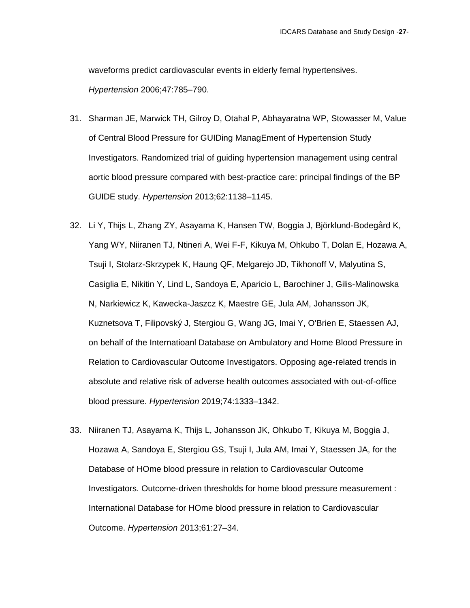waveforms predict cardiovascular events in elderly femal hypertensives. *Hypertension* 2006;47:785–790.

- 31. Sharman JE, Marwick TH, Gilroy D, Otahal P, Abhayaratna WP, Stowasser M, Value of Central Blood Pressure for GUIDing ManagEment of Hypertension Study Investigators. Randomized trial of guiding hypertension management using central aortic blood pressure compared with best-practice care: principal findings of the BP GUIDE study. *Hypertension* 2013;62:1138–1145.
- 32. Li Y, Thijs L, Zhang ZY, Asayama K, Hansen TW, Boggia J, Björklund-Bodegård K, Yang WY, Niiranen TJ, Ntineri A, Wei F-F, Kikuya M, Ohkubo T, Dolan E, Hozawa A, Tsuji I, Stolarz-Skrzypek K, Haung QF, Melgarejo JD, Tikhonoff V, Malyutina S, Casiglia E, Nikitin Y, Lind L, Sandoya E, Aparicio L, Barochiner J, Gilis-Malinowska N, Narkiewicz K, Kawecka-Jaszcz K, Maestre GE, Jula AM, Johansson JK, Kuznetsova T, Filipovský J, Stergiou G, Wang JG, Imai Y, O'Brien E, Staessen AJ, on behalf of the Internatioanl Database on Ambulatory and Home Blood Pressure in Relation to Cardiovascular Outcome Investigators. Opposing age-related trends in absolute and relative risk of adverse health outcomes associated with out-of-office blood pressure. *Hypertension* 2019;74:1333–1342.
- 33. Niiranen TJ, Asayama K, Thijs L, Johansson JK, Ohkubo T, Kikuya M, Boggia J, Hozawa A, Sandoya E, Stergiou GS, Tsuji I, Jula AM, Imai Y, Staessen JA, for the Database of HOme blood pressure in relation to Cardiovascular Outcome Investigators. Outcome-driven thresholds for home blood pressure measurement : International Database for HOme blood pressure in relation to Cardiovascular Outcome. *Hypertension* 2013;61:27–34.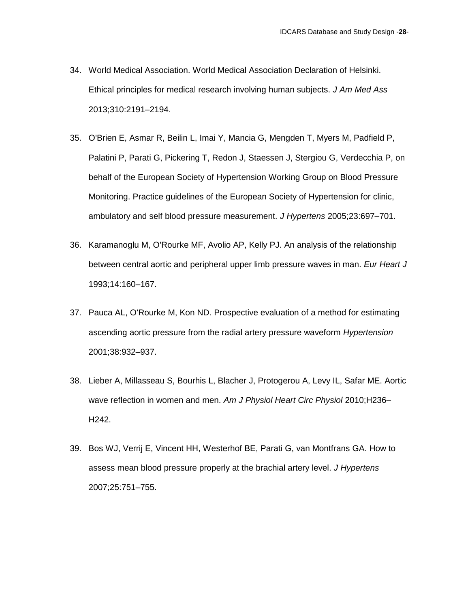- 34. World Medical Association. World Medical Association Declaration of Helsinki. Ethical principles for medical research involving human subjects. *J Am Med Ass* 2013;310:2191–2194.
- 35. O'Brien E, Asmar R, Beilin L, Imai Y, Mancia G, Mengden T, Myers M, Padfield P, Palatini P, Parati G, Pickering T, Redon J, Staessen J, Stergiou G, Verdecchia P, on behalf of the European Society of Hypertension Working Group on Blood Pressure Monitoring. Practice guidelines of the European Society of Hypertension for clinic, ambulatory and self blood pressure measurement. *J Hypertens* 2005;23:697–701.
- 36. Karamanoglu M, O'Rourke MF, Avolio AP, Kelly PJ. An analysis of the relationship between central aortic and peripheral upper limb pressure waves in man. *Eur Heart J* 1993;14:160–167.
- 37. Pauca AL, O'Rourke M, Kon ND. Prospective evaluation of a method for estimating ascending aortic pressure from the radial artery pressure waveform *Hypertension* 2001;38:932–937.
- 38. Lieber A, Millasseau S, Bourhis L, Blacher J, Protogerou A, Levy IL, Safar ME. Aortic wave reflection in women and men. *Am J Physiol Heart Circ Physiol* 2010;H236– H242.
- 39. Bos WJ, Verrij E, Vincent HH, Westerhof BE, Parati G, van Montfrans GA. How to assess mean blood pressure properly at the brachial artery level. *J Hypertens* 2007;25:751–755.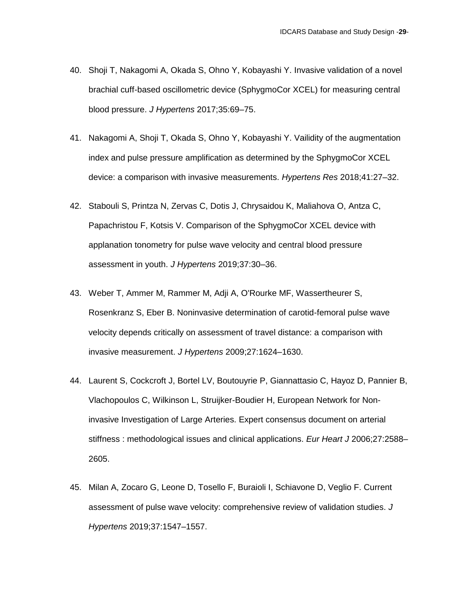- 40. Shoji T, Nakagomi A, Okada S, Ohno Y, Kobayashi Y. Invasive validation of a novel brachial cuff-based oscillometric device (SphygmoCor XCEL) for measuring central blood pressure. *J Hypertens* 2017;35:69–75.
- 41. Nakagomi A, Shoji T, Okada S, Ohno Y, Kobayashi Y. Vailidity of the augmentation index and pulse pressure amplification as determined by the SphygmoCor XCEL device: a comparison with invasive measurements. *Hypertens Res* 2018;41:27–32.
- 42. Stabouli S, Printza N, Zervas C, Dotis J, Chrysaidou K, Maliahova O, Antza C, Papachristou F, Kotsis V. Comparison of the SphygmoCor XCEL device with applanation tonometry for pulse wave velocity and central blood pressure assessment in youth. *J Hypertens* 2019;37:30–36.
- 43. Weber T, Ammer M, Rammer M, Adji A, O'Rourke MF, Wassertheurer S, Rosenkranz S, Eber B. Noninvasive determination of carotid-femoral pulse wave velocity depends critically on assessment of travel distance: a comparison with invasive measurement. *J Hypertens* 2009;27:1624–1630.
- 44. Laurent S, Cockcroft J, Bortel LV, Boutouyrie P, Giannattasio C, Hayoz D, Pannier B, Vlachopoulos C, Wilkinson L, Struijker-Boudier H, European Network for Noninvasive Investigation of Large Arteries. Expert consensus document on arterial stiffness : methodological issues and clinical applications. *Eur Heart J* 2006;27:2588– 2605.
- 45. Milan A, Zocaro G, Leone D, Tosello F, Buraioli I, Schiavone D, Veglio F. Current assessment of pulse wave velocity: comprehensive review of validation studies. *J Hypertens* 2019;37:1547–1557.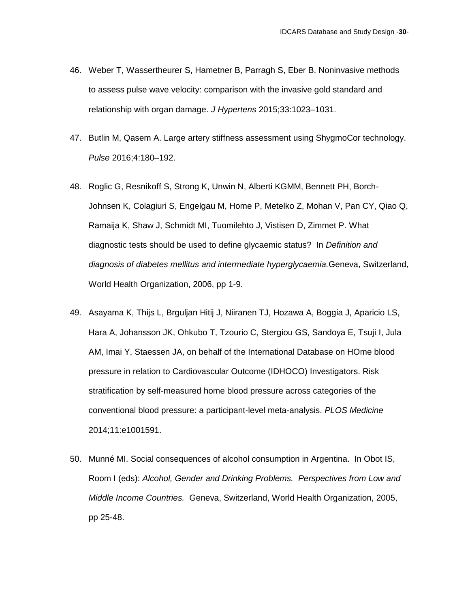- 46. Weber T, Wassertheurer S, Hametner B, Parragh S, Eber B. Noninvasive methods to assess pulse wave velocity: comparison with the invasive gold standard and relationship with organ damage. *J Hypertens* 2015;33:1023–1031.
- 47. Butlin M, Qasem A. Large artery stiffness assessment using ShygmoCor technology. *Pulse* 2016;4:180–192.
- 48. Roglic G, Resnikoff S, Strong K, Unwin N, Alberti KGMM, Bennett PH, Borch-Johnsen K, Colagiuri S, Engelgau M, Home P, Metelko Z, Mohan V, Pan CY, Qiao Q, Ramaija K, Shaw J, Schmidt MI, Tuomilehto J, Vistisen D, Zimmet P. What diagnostic tests should be used to define glycaemic status? In *Definition and diagnosis of diabetes mellitus and intermediate hyperglycaemia.*Geneva, Switzerland, World Health Organization, 2006, pp 1-9.
- 49. Asayama K, Thijs L, Brguljan Hitij J, Niiranen TJ, Hozawa A, Boggia J, Aparicio LS, Hara A, Johansson JK, Ohkubo T, Tzourio C, Stergiou GS, Sandoya E, Tsuji I, Jula AM, Imai Y, Staessen JA, on behalf of the International Database on HOme blood pressure in relation to Cardiovascular Outcome (IDHOCO) Investigators. Risk stratification by self-measured home blood pressure across categories of the conventional blood pressure: a participant-level meta-analysis. *PLOS Medicine* 2014;11:e1001591.
- 50. Munné MI. Social consequences of alcohol consumption in Argentina. In Obot IS, Room I (eds): *Alcohol, Gender and Drinking Problems. Perspectives from Low and Middle Income Countries.* Geneva, Switzerland, World Health Organization, 2005, pp 25-48.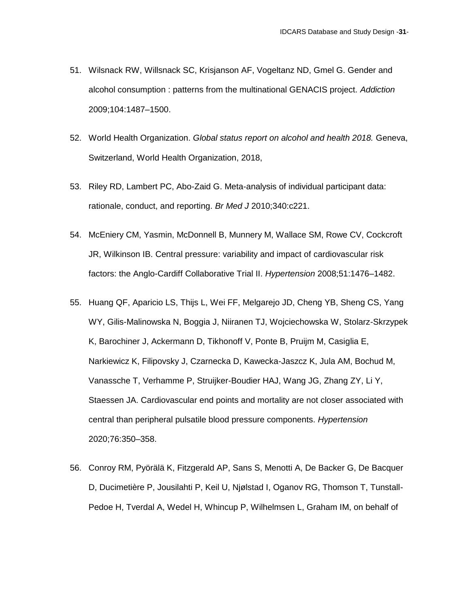- 51. Wilsnack RW, Willsnack SC, Krisjanson AF, Vogeltanz ND, Gmel G. Gender and alcohol consumption : patterns from the multinational GENACIS project. *Addiction* 2009;104:1487–1500.
- 52. World Health Organization. *Global status report on alcohol and health 2018.* Geneva, Switzerland, World Health Organization, 2018,
- 53. Riley RD, Lambert PC, Abo-Zaid G. Meta-analysis of individual participant data: rationale, conduct, and reporting. *Br Med J* 2010;340:c221.
- 54. McEniery CM, Yasmin, McDonnell B, Munnery M, Wallace SM, Rowe CV, Cockcroft JR, Wilkinson IB. Central pressure: variability and impact of cardiovascular risk factors: the Anglo-Cardiff Collaborative Trial II. *Hypertension* 2008;51:1476–1482.
- 55. Huang QF, Aparicio LS, Thijs L, Wei FF, Melgarejo JD, Cheng YB, Sheng CS, Yang WY, Gilis-Malinowska N, Boggia J, Niiranen TJ, Wojciechowska W, Stolarz-Skrzypek K, Barochiner J, Ackermann D, Tikhonoff V, Ponte B, Pruijm M, Casiglia E, Narkiewicz K, Filipovsky J, Czarnecka D, Kawecka-Jaszcz K, Jula AM, Bochud M, Vanassche T, Verhamme P, Struijker-Boudier HAJ, Wang JG, Zhang ZY, Li Y, Staessen JA. Cardiovascular end points and mortality are not closer associated with central than peripheral pulsatile blood pressure components. *Hypertension* 2020;76:350–358.
- 56. Conroy RM, Pyörälä K, Fitzgerald AP, Sans S, Menotti A, De Backer G, De Bacquer D, Ducimetière P, Jousilahti P, Keil U, Njølstad I, Oganov RG, Thomson T, Tunstall-Pedoe H, Tverdal A, Wedel H, Whincup P, Wilhelmsen L, Graham IM, on behalf of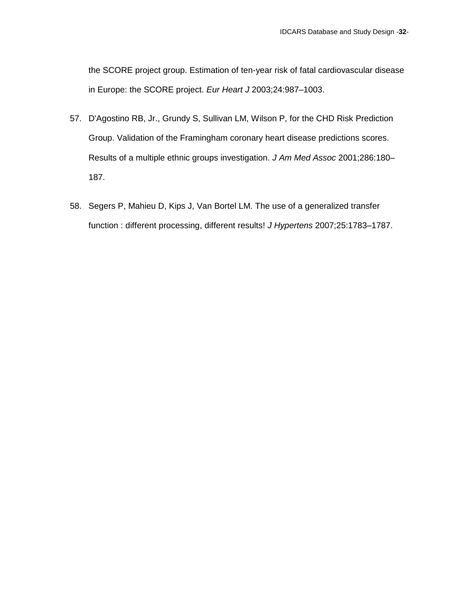the SCORE project group. Estimation of ten-year risk of fatal cardiovascular disease in Europe: the SCORE project. *Eur Heart J* 2003;24:987–1003.

- 57. D'Agostino RB, Jr., Grundy S, Sullivan LM, Wilson P, for the CHD Risk Prediction Group. Validation of the Framingham coronary heart disease predictions scores. Results of a multiple ethnic groups investigation. *J Am Med Assoc* 2001;286:180– 187.
- 58. Segers P, Mahieu D, Kips J, Van Bortel LM. The use of a generalized transfer function : different processing, different results! *J Hypertens* 2007;25:1783–1787.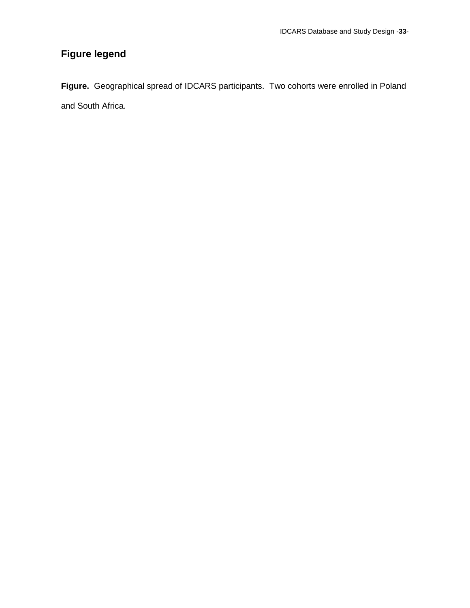## **Figure legend**

**Figure.** Geographical spread of IDCARS participants. Two cohorts were enrolled in Poland and South Africa.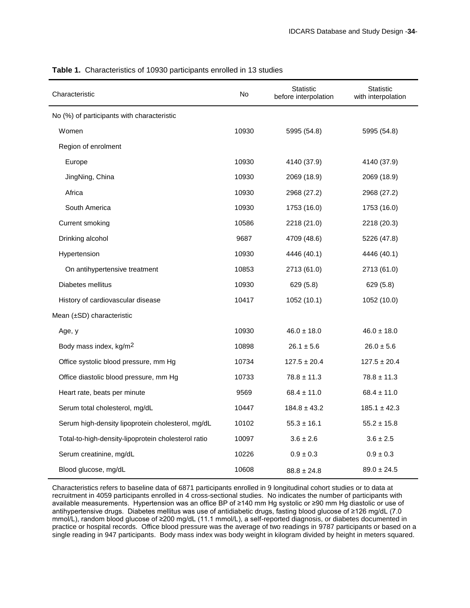| Characteristic                                      | No.   | <b>Statistic</b><br>before interpolation | <b>Statistic</b><br>with interpolation |
|-----------------------------------------------------|-------|------------------------------------------|----------------------------------------|
| No (%) of participants with characteristic          |       |                                          |                                        |
| Women                                               | 10930 | 5995 (54.8)                              | 5995 (54.8)                            |
| Region of enrolment                                 |       |                                          |                                        |
| Europe                                              | 10930 | 4140 (37.9)                              | 4140 (37.9)                            |
| JingNing, China                                     | 10930 | 2069 (18.9)                              | 2069 (18.9)                            |
| Africa                                              | 10930 | 2968 (27.2)                              | 2968 (27.2)                            |
| South America                                       | 10930 | 1753 (16.0)                              | 1753 (16.0)                            |
| Current smoking                                     | 10586 | 2218 (21.0)                              | 2218 (20.3)                            |
| Drinking alcohol                                    | 9687  | 4709 (48.6)                              | 5226 (47.8)                            |
| Hypertension                                        | 10930 | 4446 (40.1)                              | 4446 (40.1)                            |
| On antihypertensive treatment                       | 10853 | 2713 (61.0)                              | 2713 (61.0)                            |
| Diabetes mellitus                                   | 10930 | 629 (5.8)                                | 629 (5.8)                              |
| History of cardiovascular disease                   | 10417 | 1052 (10.1)                              | 1052 (10.0)                            |
| Mean (±SD) characteristic                           |       |                                          |                                        |
| Age, y                                              | 10930 | $46.0 \pm 18.0$                          | $46.0 \pm 18.0$                        |
| Body mass index, kg/m <sup>2</sup>                  | 10898 | $26.1 \pm 5.6$                           | $26.0 \pm 5.6$                         |
| Office systolic blood pressure, mm Hg               | 10734 | $127.5 \pm 20.4$                         | $127.5 \pm 20.4$                       |
| Office diastolic blood pressure, mm Hg              | 10733 | $78.8 \pm 11.3$                          | $78.8 \pm 11.3$                        |
| Heart rate, beats per minute                        | 9569  | $68.4 \pm 11.0$                          | $68.4 \pm 11.0$                        |
| Serum total cholesterol, mg/dL                      | 10447 | $184.8 \pm 43.2$                         | $185.1 \pm 42.3$                       |
| Serum high-density lipoprotein cholesterol, mg/dL   | 10102 | $55.3 \pm 16.1$                          | $55.2 \pm 15.8$                        |
| Total-to-high-density-lipoprotein cholesterol ratio | 10097 | $3.6 \pm 2.6$                            | $3.6 \pm 2.5$                          |
| Serum creatinine, mg/dL                             | 10226 | $0.9 \pm 0.3$                            | $0.9 \pm 0.3$                          |
| Blood glucose, mg/dL                                | 10608 | $88.8 \pm 24.8$                          | $89.0 \pm 24.5$                        |

**Table 1.** Characteristics of 10930 participants enrolled in 13 studies

Characteristics refers to baseline data of 6871 participants enrolled in 9 longitudinal cohort studies or to data at recruitment in 4059 participants enrolled in 4 cross-sectional studies. No indicates the number of participants with available measurements. Hypertension was an office BP of ≥140 mm Hg systolic or ≥90 mm Hg diastolic or use of antihypertensive drugs. Diabetes mellitus was use of antidiabetic drugs, fasting blood glucose of ≥126 mg/dL (7.0 mmol/L), random blood glucose of ≥200 mg/dL (11.1 mmol/L), a self-reported diagnosis, or diabetes documented in practice or hospital records. Office blood pressure was the average of two readings in 9787 participants or based on a single reading in 947 participants. Body mass index was body weight in kilogram divided by height in meters squared.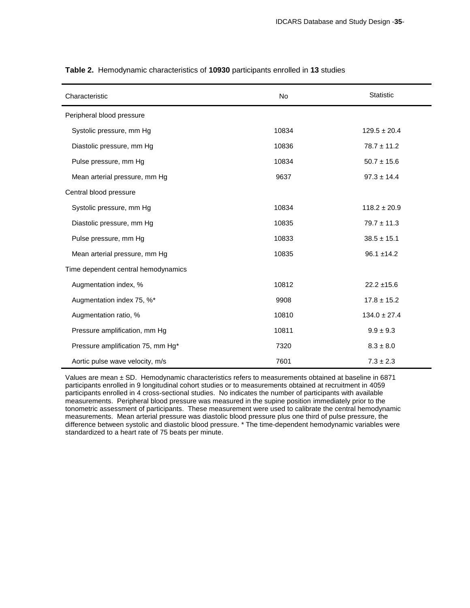| Characteristic                      | No    | <b>Statistic</b> |
|-------------------------------------|-------|------------------|
| Peripheral blood pressure           |       |                  |
| Systolic pressure, mm Hg            | 10834 | $129.5 \pm 20.4$ |
| Diastolic pressure, mm Hg           | 10836 | $78.7 \pm 11.2$  |
| Pulse pressure, mm Hg               | 10834 | $50.7 \pm 15.6$  |
| Mean arterial pressure, mm Hg       | 9637  | $97.3 \pm 14.4$  |
| Central blood pressure              |       |                  |
| Systolic pressure, mm Hg            | 10834 | $118.2 \pm 20.9$ |
| Diastolic pressure, mm Hg           | 10835 | $79.7 \pm 11.3$  |
| Pulse pressure, mm Hg               | 10833 | $38.5 \pm 15.1$  |
| Mean arterial pressure, mm Hg       | 10835 | $96.1 \pm 14.2$  |
| Time dependent central hemodynamics |       |                  |
| Augmentation index, %               | 10812 | $22.2 \pm 15.6$  |
| Augmentation index 75, %*           | 9908  | $17.8 \pm 15.2$  |
| Augmentation ratio, %               | 10810 | $134.0 \pm 27.4$ |
| Pressure amplification, mm Hg       | 10811 | $9.9 \pm 9.3$    |
| Pressure amplification 75, mm Hg*   | 7320  | $8.3 \pm 8.0$    |
| Aortic pulse wave velocity, m/s     | 7601  | $7.3 \pm 2.3$    |

**Table 2.** Hemodynamic characteristics of **10930** participants enrolled in **13** studies

Values are mean ± SD. Hemodynamic characteristics refers to measurements obtained at baseline in 6871 participants enrolled in 9 longitudinal cohort studies or to measurements obtained at recruitment in 4059 participants enrolled in 4 cross-sectional studies. No indicates the number of participants with available measurements. Peripheral blood pressure was measured in the supine position immediately prior to the tonometric assessment of participants. These measurement were used to calibrate the central hemodynamic measurements. Mean arterial pressure was diastolic blood pressure plus one third of pulse pressure, the difference between systolic and diastolic blood pressure. \* The time-dependent hemodynamic variables were standardized to a heart rate of 75 beats per minute.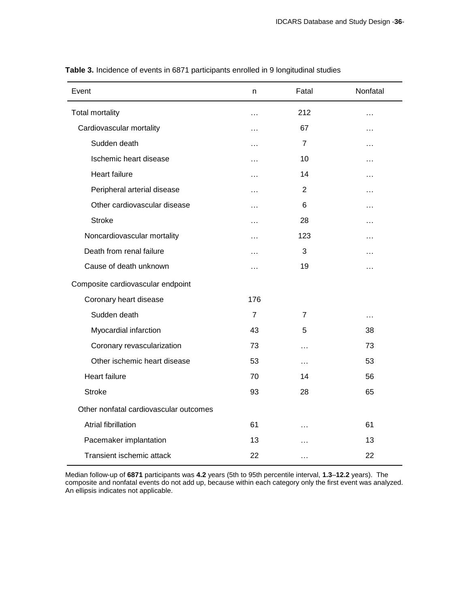| Event                                  | n              | Fatal          | Nonfatal  |
|----------------------------------------|----------------|----------------|-----------|
| Total mortality                        | .              | 212            | .         |
| Cardiovascular mortality               | .              | 67             | .         |
| Sudden death                           | .              | $\overline{7}$ | .         |
| Ischemic heart disease                 | $\cdots$       | 10             | .         |
| <b>Heart failure</b>                   | .              | 14             | .         |
| Peripheral arterial disease            | $\cdots$       | 2              | .         |
| Other cardiovascular disease           | .              | 6              | .         |
| <b>Stroke</b>                          | $\cdots$       | 28             | $\cdots$  |
| Noncardiovascular mortality            | .              | 123            | .         |
| Death from renal failure               | .              | 3              | .         |
| Cause of death unknown                 | $\ddotsc$      | 19             | $\ddotsc$ |
| Composite cardiovascular endpoint      |                |                |           |
| Coronary heart disease                 | 176            |                |           |
| Sudden death                           | $\overline{7}$ | 7              | $\cdots$  |
| Myocardial infarction                  | 43             | 5              | 38        |
| Coronary revascularization             | 73             | $\cdots$       | 73        |
| Other ischemic heart disease           | 53             | $\cdots$       | 53        |
| <b>Heart failure</b>                   | 70             | 14             | 56        |
| <b>Stroke</b>                          | 93             | 28             | 65        |
| Other nonfatal cardiovascular outcomes |                |                |           |
| <b>Atrial fibrillation</b>             | 61             | $\cdots$       | 61        |
| Pacemaker implantation                 | 13             | $\cdots$       | 13        |
| Transient ischemic attack              | 22             | $\cdots$       | 22        |

**Table 3.** Incidence of events in 6871 participants enrolled in 9 longitudinal studies

Median follow-up of **6871** participants was **4.2** years (5th to 95th percentile interval, **1.3**–**12.2** years). The composite and nonfatal events do not add up, because within each category only the first event was analyzed. An ellipsis indicates not applicable.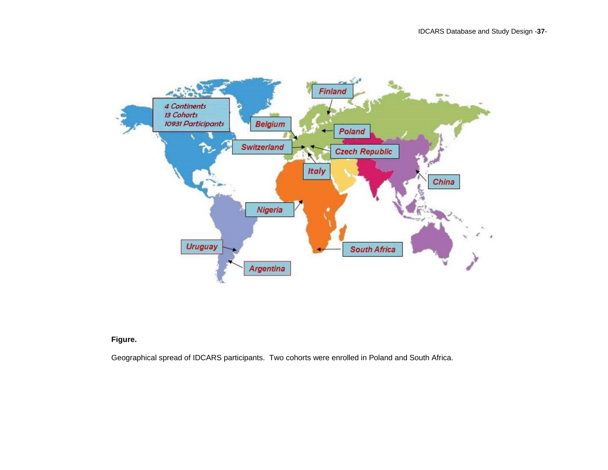

**Figure.**

Geographical spread of IDCARS participants. Two cohorts were enrolled in Poland and South Africa.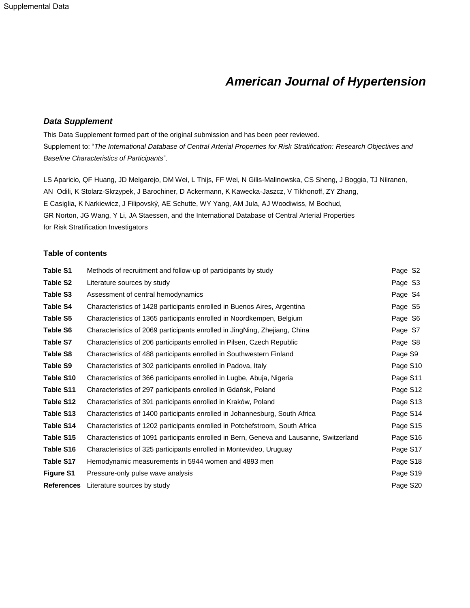# *American Journal of Hypertension*

#### *Data Supplement*

This Data Supplement formed part of the original submission and has been peer reviewed. Supplement to: "*The International Database of Central Arterial Properties for Risk Stratification: Research Objectives and Baseline Characteristics of Participants*".

LS Aparicio, QF Huang, JD Melgarejo, DM Wei, L Thijs, FF Wei, N Gilis-Malinowska, CS Sheng, J Boggia, TJ Niiranen, AN Odili, K Stolarz-Skrzypek, J Barochiner, D Ackermann, K Kawecka-Jaszcz, V Tikhonoff, ZY Zhang, E Casiglia, K Narkiewicz, J Filipovský, AE Schutte, WY Yang, AM Jula, AJ Woodiwiss, M Bochud, GR Norton, JG Wang, Y Li, JA Staessen, and the International Database of Central Arterial Properties for Risk Stratification Investigators

#### **Table of contents**

| <b>Table S1</b>   | Methods of recruitment and follow-up of participants by study                           | Page S <sub>2</sub> |
|-------------------|-----------------------------------------------------------------------------------------|---------------------|
| Table S2          | Literature sources by study                                                             | Page S3             |
| Table S3          | Assessment of central hemodynamics                                                      | Page S4             |
| Table S4          | Characteristics of 1428 participants enrolled in Buenos Aires, Argentina                | Page S5             |
| Table S5          | Characteristics of 1365 participants enrolled in Noordkempen, Belgium                   | Page S6             |
| Table S6          | Characteristics of 2069 participants enrolled in JingNing, Zhejiang, China              | Page S7             |
| Table S7          | Characteristics of 206 participants enrolled in Pilsen, Czech Republic                  | Page S8             |
| Table S8          | Characteristics of 488 participants enrolled in Southwestern Finland                    | Page S9             |
| Table S9          | Characteristics of 302 participants enrolled in Padova, Italy                           | Page S10            |
| Table S10         | Characteristics of 366 participants enrolled in Lugbe, Abuja, Nigeria                   | Page S11            |
| Table S11         | Characteristics of 297 participants enrolled in Gdańsk, Poland                          | Page S12            |
| Table S12         | Characteristics of 391 participants enrolled in Kraków, Poland                          | Page S13            |
| Table S13         | Characteristics of 1400 participants enrolled in Johannesburg, South Africa             | Page S14            |
| Table S14         | Characteristics of 1202 participants enrolled in Potchefstroom, South Africa            | Page S15            |
| Table S15         | Characteristics of 1091 participants enrolled in Bern, Geneva and Lausanne, Switzerland | Page S16            |
| Table S16         | Characteristics of 325 participants enrolled in Montevideo, Uruguay                     | Page S17            |
| Table S17         | Hemodynamic measurements in 5944 women and 4893 men                                     | Page S18            |
| <b>Figure S1</b>  | Pressure-only pulse wave analysis                                                       | Page S19            |
| <b>References</b> | Literature sources by study                                                             | Page S20            |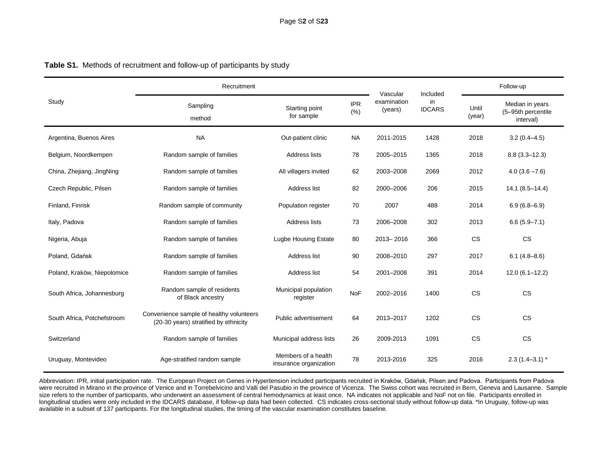|                             | Recruitment                                                                       |                                               |                    | Vascular               | Included            |                 | Follow-up                                          |  |
|-----------------------------|-----------------------------------------------------------------------------------|-----------------------------------------------|--------------------|------------------------|---------------------|-----------------|----------------------------------------------------|--|
| Study                       | Sampling<br>method                                                                | Starting point<br>for sample                  | <b>IPR</b><br>(% ) | examination<br>(years) | in<br><b>IDCARS</b> | Until<br>(year) | Median in years<br>(5-95th percentile<br>interval) |  |
| Argentina, Buenos Aires     | <b>NA</b>                                                                         | Out-patient clinic                            | <b>NA</b>          | 2011-2015              | 1428                | 2018            | $3.2(0.4 - 4.5)$                                   |  |
| Belgium, Noordkempen        | Random sample of families                                                         | Address lists                                 | 78                 | 2005-2015              | 1365                | 2018            | $8.8(3.3 - 12.3)$                                  |  |
| China, Zhejiang, JingNing   | Random sample of families                                                         | All villagers invited                         | 62                 | 2003-2008              | 2069                | 2012            | $4.0(3.6 - 7.6)$                                   |  |
| Czech Republic, Pilsen      | Random sample of families                                                         | Address list                                  | 82                 | 2000-2006              | 206                 | 2015            | $14.1 (8.5 - 14.4)$                                |  |
| Finland, Finrisk            | Random sample of community                                                        | Population register                           | 70                 | 2007                   | 488                 | 2014            | $6.9(6.8 - 6.9)$                                   |  |
| Italy, Padova               | Random sample of families                                                         | Address lists                                 | 73                 | 2006-2008              | 302                 | 2013            | $6.6(5.9 - 7.1)$                                   |  |
| Nigeria, Abuja              | Random sample of families                                                         | <b>Lugbe Housing Estate</b>                   | 80                 | 2013-2016              | 366                 | CS              | $\mathbb{C}\mathbb{S}$                             |  |
| Poland, Gdańsk              | Random sample of families                                                         | Address list                                  | 90                 | 2008-2010              | 297                 | 2017            | $6.1(4.8 - 8.6)$                                   |  |
| Poland, Kraków, Niepolomice | Random sample of families                                                         | Address list                                  | 54                 | 2001-2008              | 391                 | 2014            | $12.0(6.1 - 12.2)$                                 |  |
| South Africa, Johannesburg  | Random sample of residents<br>of Black ancestry                                   | Municipal population<br>register              | NoF                | 2002-2016              | 1400                | <b>CS</b>       | <b>CS</b>                                          |  |
| South Africa, Potchefstroom | Convenience sample of healthy volunteers<br>(20-30 years) stratified by ethnicity | Public advertisement                          | 64                 | 2013-2017              | 1202                | <b>CS</b>       | <b>CS</b>                                          |  |
| Switzerland                 | Random sample of families                                                         | Municipal address lists                       | 26                 | 2009-2013              | 1091                | <b>CS</b>       | <b>CS</b>                                          |  |
| Uruguay, Montevideo         | Age-stratified random sample                                                      | Members of a health<br>insurance organization | 78                 | 2013-2016              | 325                 | 2016            | $2.3(1.4-3.1)$ *                                   |  |

## **Table S1.** Methods of recruitment and follow-up of participants by study

Abbreviation: IPR, initial participation rate. The European Project on Genes in Hypertension included participants recruited in Kraków, Gdańsk, Pilsen and Padova. Participants from Padova were recruited in Mirano in the province of Venice and in Torrebelvicino and Valli del Pasubio in the province of Vicenza. The Swiss cohort was recruited in Bern, Geneva and Lausanne. Sample size refers to the number of participants, who underwent an assessment of central hemodynamics at least once. NA indicates not applicable and NoF not on file. Participants enrolled in longitudinal studies were only included in the IDCARS database, if follow-up data had been collected. CS indicates cross-sectional study without follow-up data. \*In Uruguay, follow-up was available in a subset of 137 participants. For the longitudinal studies, the timing of the vascular examination constitutes baseline.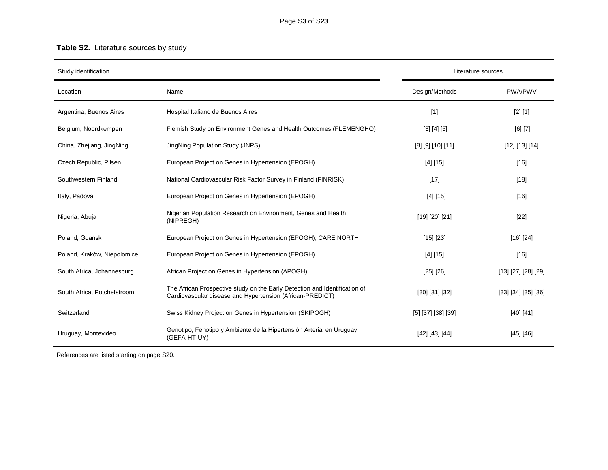## **Table S2.** Literature sources by study

| Study identification        |                                                                                                                                         |                      | Literature sources  |
|-----------------------------|-----------------------------------------------------------------------------------------------------------------------------------------|----------------------|---------------------|
| Location                    | Name                                                                                                                                    | Design/Methods       | <b>PWA/PWV</b>      |
| Argentina, Buenos Aires     | Hospital Italiano de Buenos Aires                                                                                                       | $[1]$                | [2] [1]             |
| Belgium, Noordkempen        | Flemish Study on Environment Genes and Health Outcomes (FLEMENGHO)                                                                      | [3] [4] [5]          | [6] [7]             |
| China, Zhejiang, JingNing   | JingNing Population Study (JNPS)                                                                                                        | [8] [9] [10] [11]    | [12] [13] [14]      |
| Czech Republic, Pilsen      | European Project on Genes in Hypertension (EPOGH)                                                                                       | [4] [15]             | $[16]$              |
| Southwestern Finland        | National Cardiovascular Risk Factor Survey in Finland (FINRISK)                                                                         | $[17]$               | $[18]$              |
| Italy, Padova               | European Project on Genes in Hypertension (EPOGH)                                                                                       | [4] [15]             | $[16]$              |
| Nigeria, Abuja              | Nigerian Population Research on Environment, Genes and Health<br>(NIPREGH)                                                              | [19] [20] [21]       | $[22]$              |
| Poland, Gdańsk              | European Project on Genes in Hypertension (EPOGH); CARE NORTH                                                                           | [15] [23]            | [16] [24]           |
| Poland, Kraków, Niepolomice | European Project on Genes in Hypertension (EPOGH)                                                                                       | [4] [15]             | $[16]$              |
| South Africa, Johannesburg  | African Project on Genes in Hypertension (APOGH)                                                                                        | [25] [26]            | [13] [27] [28] [29] |
| South Africa, Potchefstroom | The African Prospective study on the Early Detection and Identification of<br>Cardiovascular disease and Hypertension (African-PREDICT) | [30] [31] [32]       | [33] [34] [35] [36] |
| Switzerland                 | Swiss Kidney Project on Genes in Hypertension (SKIPOGH)                                                                                 | $[5]$ [37] [38] [39] | [40] [41]           |
| Uruguay, Montevideo         | Genotipo, Fenotipo y Ambiente de la Hipertensión Arterial en Uruguay<br>(GEFA-HT-UY)                                                    | [42] [43] [44]       | [45] [46]           |

References are listed starting on page S20.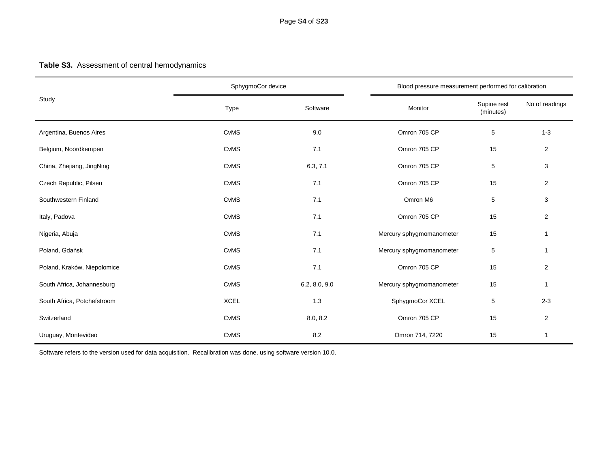## **Table S3.** Assessment of central hemodynamics

|                             | SphygmoCor device |               |                          | Blood pressure measurement performed for calibration |                         |  |
|-----------------------------|-------------------|---------------|--------------------------|------------------------------------------------------|-------------------------|--|
| Study                       | Type              | Software      | Monitor                  | Supine rest<br>(minutes)                             | No of readings          |  |
| Argentina, Buenos Aires     | CvMS              | 9.0           | Omron 705 CP             | 5                                                    | $1 - 3$                 |  |
| Belgium, Noordkempen        | CvMS              | 7.1           | Omron 705 CP             | 15                                                   | $\overline{2}$          |  |
| China, Zhejiang, JingNing   | CvMS              | 6.3, 7.1      | Omron 705 CP             | 5                                                    | 3                       |  |
| Czech Republic, Pilsen      | CvMS              | 7.1           | Omron 705 CP             | 15                                                   | $\overline{\mathbf{c}}$ |  |
| Southwestern Finland        | CvMS              | 7.1           | Omron M6                 | 5                                                    | 3                       |  |
| Italy, Padova               | CvMS              | 7.1           | Omron 705 CP             | 15                                                   | $\overline{2}$          |  |
| Nigeria, Abuja              | CvMS              | 7.1           | Mercury sphygmomanometer | 15                                                   | 1                       |  |
| Poland, Gdańsk              | CvMS              | 7.1           | Mercury sphygmomanometer | 5                                                    | 1                       |  |
| Poland, Kraków, Niepolomice | CvMS              | 7.1           | Omron 705 CP             | 15                                                   | $\overline{2}$          |  |
| South Africa, Johannesburg  | CvMS              | 6.2, 8.0, 9.0 | Mercury sphygmomanometer | 15                                                   | 1                       |  |
| South Africa, Potchefstroom | <b>XCEL</b>       | 1.3           | SphygmoCor XCEL          | 5                                                    | $2 - 3$                 |  |
| Switzerland                 | CvMS              | 8.0, 8.2      | Omron 705 CP             | 15                                                   | $\overline{2}$          |  |
| Uruguay, Montevideo         | CvMS              | 8.2           | Omron 714, 7220          | 15                                                   | 1                       |  |

Software refers to the version used for data acquisition. Recalibration was done, using software version 10.0.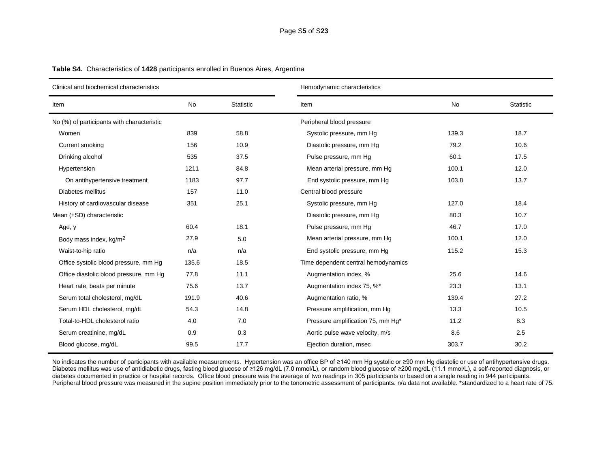| Clinical and biochemical characteristics   |       |                  | Hemodynamic characteristics         |       |                  |  |  |
|--------------------------------------------|-------|------------------|-------------------------------------|-------|------------------|--|--|
| Item                                       | No    | <b>Statistic</b> | Item                                | No    | <b>Statistic</b> |  |  |
| No (%) of participants with characteristic |       |                  | Peripheral blood pressure           |       |                  |  |  |
| Women                                      | 839   | 58.8             | Systolic pressure, mm Hg            | 139.3 | 18.7             |  |  |
| Current smoking                            | 156   | 10.9             | Diastolic pressure, mm Hg           | 79.2  | 10.6             |  |  |
| Drinking alcohol                           | 535   | 37.5             | Pulse pressure, mm Hg               | 60.1  | 17.5             |  |  |
| Hypertension                               | 1211  | 84.8             | Mean arterial pressure, mm Hg       | 100.1 | 12.0             |  |  |
| On antihypertensive treatment              | 1183  | 97.7             | End systolic pressure, mm Hg        | 103.8 | 13.7             |  |  |
| Diabetes mellitus                          | 157   | 11.0             | Central blood pressure              |       |                  |  |  |
| History of cardiovascular disease          | 351   | 25.1             | Systolic pressure, mm Hg            | 127.0 | 18.4             |  |  |
| Mean (±SD) characteristic                  |       |                  | Diastolic pressure, mm Hg           | 80.3  | 10.7             |  |  |
| Age, y                                     | 60.4  | 18.1             | Pulse pressure, mm Hg               | 46.7  | 17.0             |  |  |
| Body mass index, kg/m <sup>2</sup>         | 27.9  | 5.0              | Mean arterial pressure, mm Hg       | 100.1 | 12.0             |  |  |
| Waist-to-hip ratio                         | n/a   | n/a              | End systolic pressure, mm Hg        | 115.2 | 15.3             |  |  |
| Office systolic blood pressure, mm Hg      | 135.6 | 18.5             | Time dependent central hemodynamics |       |                  |  |  |
| Office diastolic blood pressure, mm Hg     | 77.8  | 11.1             | Augmentation index, %               | 25.6  | 14.6             |  |  |
| Heart rate, beats per minute               | 75.6  | 13.7             | Augmentation index 75, %*           | 23.3  | 13.1             |  |  |
| Serum total cholesterol, mg/dL             | 191.9 | 40.6             | Augmentation ratio, %               | 139.4 | 27.2             |  |  |
| Serum HDL cholesterol, mg/dL               | 54.3  | 14.8             | Pressure amplification, mm Hg       | 13.3  | 10.5             |  |  |
| Total-to-HDL cholesterol ratio             | 4.0   | 7.0              | Pressure amplification 75, mm Hg*   | 11.2  | 8.3              |  |  |
| Serum creatinine, mg/dL                    | 0.9   | 0.3              | Aortic pulse wave velocity, m/s     | 8.6   | 2.5              |  |  |
| Blood glucose, mg/dL                       | 99.5  | 17.7             | Ejection duration, msec             | 303.7 | 30.2             |  |  |

**Table S4.** Characteristics of **1428** participants enrolled in Buenos Aires, Argentina

No indicates the number of participants with available measurements. Hypertension was an office BP of ≥140 mm Hg systolic or ≥90 mm Hg diastolic or use of antihypertensive drugs. Diabetes mellitus was use of antidiabetic drugs, fasting blood glucose of ≥126 mg/dL (7.0 mmol/L), or random blood glucose of ≥200 mg/dL (11.1 mmol/L), a self-reported diagnosis, or diabetes documented in practice or hospital records. Office blood pressure was the average of two readings in 305 participants or based on a single reading in 944 participants. Peripheral blood pressure was measured in the supine position immediately prior to the tonometric assessment of participants. n/a data not available. \*standardized to a heart rate of 75.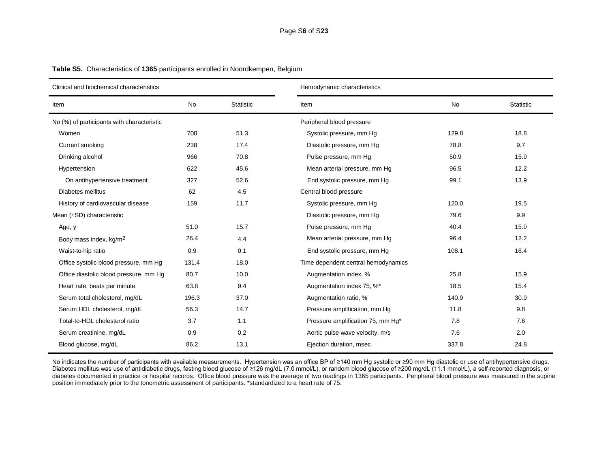| Clinical and biochemical characteristics   |       |                  | Hemodynamic characteristics         |       |                  |  |
|--------------------------------------------|-------|------------------|-------------------------------------|-------|------------------|--|
| Item                                       | No    | <b>Statistic</b> | Item                                | No    | <b>Statistic</b> |  |
| No (%) of participants with characteristic |       |                  | Peripheral blood pressure           |       |                  |  |
| Women                                      | 700   | 51.3             | Systolic pressure, mm Hg            | 129.8 | 18.8             |  |
| Current smoking                            | 238   | 17.4             | Diastolic pressure, mm Hg           | 78.8  | 9.7              |  |
| Drinking alcohol                           | 966   | 70.8             | Pulse pressure, mm Hq               | 50.9  | 15.9             |  |
| Hypertension                               | 622   | 45.6             | Mean arterial pressure, mm Hg       | 96.5  | 12.2             |  |
| On antihypertensive treatment              | 327   | 52.6             | End systolic pressure, mm Hg        | 99.1  | 13.9             |  |
| Diabetes mellitus                          | 62    | 4.5              | Central blood pressure              |       |                  |  |
| History of cardiovascular disease          | 159   | 11.7             | Systolic pressure, mm Hg            | 120.0 | 19.5             |  |
| Mean $(\pm SD)$ characteristic             |       |                  | Diastolic pressure, mm Hg           | 79.6  | 9.9              |  |
| Age, y                                     | 51.0  | 15.7             | Pulse pressure, mm Hg               | 40.4  | 15.9             |  |
| Body mass index, kg/m <sup>2</sup>         | 26.4  | 4.4              | Mean arterial pressure, mm Hg       | 96.4  | 12.2             |  |
| Waist-to-hip ratio                         | 0.9   | 0.1              | End systolic pressure, mm Hg        | 108.1 | 16.4             |  |
| Office systolic blood pressure, mm Hg      | 131.4 | 18.0             | Time dependent central hemodynamics |       |                  |  |
| Office diastolic blood pressure, mm Hg     | 80.7  | 10.0             | Augmentation index, %               | 25.8  | 15.9             |  |
| Heart rate, beats per minute               | 63.8  | 9.4              | Augmentation index 75, %*           | 18.5  | 15.4             |  |
| Serum total cholesterol, mg/dL             | 196.3 | 37.0             | Augmentation ratio, %               | 140.9 | 30.9             |  |
| Serum HDL cholesterol, mg/dL               | 56.3  | 14.7             | Pressure amplification, mm Hg       | 11.8  | 9.8              |  |
| Total-to-HDL cholesterol ratio             | 3.7   | 1.1              | Pressure amplification 75, mm Hg*   | 7.8   | 7.6              |  |
| Serum creatinine, mg/dL                    | 0.9   | 0.2              | Aortic pulse wave velocity, m/s     | 7.6   | 2.0              |  |
| Blood glucose, mg/dL                       | 86.2  | 13.1             | Ejection duration, msec             | 337.8 | 24.8             |  |

**Table S5.** Characteristics of **1365** participants enrolled in Noordkempen, Belgium

No indicates the number of participants with available measurements. Hypertension was an office BP of ≥140 mm Hg systolic or ≥90 mm Hg diastolic or use of antihypertensive drugs. Diabetes mellitus was use of antidiabetic drugs, fasting blood glucose of ≥126 mg/dL (7.0 mmol/L), or random blood glucose of ≥200 mg/dL (11.1 mmol/L), a self-reported diagnosis, or diabetes documented in practice or hospital records. Office blood pressure was the average of two readings in 1365 participants. Peripheral blood pressure was measured in the supine position immediately prior to the tonometric assessment of participants. \*standardized to a heart rate of 75.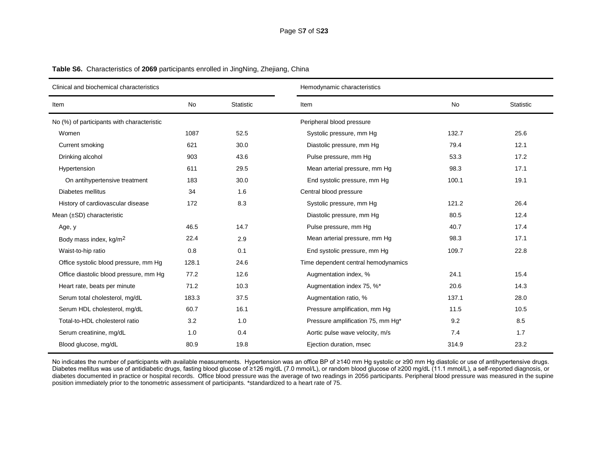| Clinical and biochemical characteristics   |       |                  | Hemodynamic characteristics         |       |                  |  |
|--------------------------------------------|-------|------------------|-------------------------------------|-------|------------------|--|
| Item                                       | No    | <b>Statistic</b> | Item                                | No    | <b>Statistic</b> |  |
| No (%) of participants with characteristic |       |                  | Peripheral blood pressure           |       |                  |  |
| Women                                      | 1087  | 52.5             | Systolic pressure, mm Hg            | 132.7 | 25.6             |  |
| Current smoking                            | 621   | 30.0             | Diastolic pressure, mm Hg           | 79.4  | 12.1             |  |
| Drinking alcohol                           | 903   | 43.6             | Pulse pressure, mm Hq               | 53.3  | 17.2             |  |
| Hypertension                               | 611   | 29.5             | Mean arterial pressure, mm Hg       | 98.3  | 17.1             |  |
| On antihypertensive treatment              | 183   | 30.0             | End systolic pressure, mm Hg        | 100.1 | 19.1             |  |
| Diabetes mellitus                          | 34    | 1.6              | Central blood pressure              |       |                  |  |
| History of cardiovascular disease          | 172   | 8.3              | Systolic pressure, mm Hg            | 121.2 | 26.4             |  |
| Mean $(\pm SD)$ characteristic             |       |                  | Diastolic pressure, mm Hg           | 80.5  | 12.4             |  |
| Age, y                                     | 46.5  | 14.7             | Pulse pressure, mm Hg               | 40.7  | 17.4             |  |
| Body mass index, kg/m <sup>2</sup>         | 22.4  | 2.9              | Mean arterial pressure, mm Hg       | 98.3  | 17.1             |  |
| Waist-to-hip ratio                         | 0.8   | 0.1              | End systolic pressure, mm Hg        | 109.7 | 22.8             |  |
| Office systolic blood pressure, mm Hg      | 128.1 | 24.6             | Time dependent central hemodynamics |       |                  |  |
| Office diastolic blood pressure, mm Hg     | 77.2  | 12.6             | Augmentation index, %               | 24.1  | 15.4             |  |
| Heart rate, beats per minute               | 71.2  | 10.3             | Augmentation index 75, %*           | 20.6  | 14.3             |  |
| Serum total cholesterol, mg/dL             | 183.3 | 37.5             | Augmentation ratio, %               | 137.1 | 28.0             |  |
| Serum HDL cholesterol, mg/dL               | 60.7  | 16.1             | Pressure amplification, mm Hg       | 11.5  | 10.5             |  |
| Total-to-HDL cholesterol ratio             | 3.2   | 1.0              | Pressure amplification 75, mm Hg*   | 9.2   | 8.5              |  |
| Serum creatinine, mg/dL                    | 1.0   | 0.4              | Aortic pulse wave velocity, m/s     | 7.4   | 1.7              |  |
| Blood glucose, mg/dL                       | 80.9  | 19.8             | Ejection duration, msec             | 314.9 | 23.2             |  |

**Table S6.** Characteristics of **2069** participants enrolled in JingNing, Zhejiang, China

No indicates the number of participants with available measurements. Hypertension was an office BP of ≥140 mm Hg systolic or ≥90 mm Hg diastolic or use of antihypertensive drugs. Diabetes mellitus was use of antidiabetic drugs, fasting blood glucose of ≥126 mg/dL (7.0 mmol/L), or random blood glucose of ≥200 mg/dL (11.1 mmol/L), a self-reported diagnosis, or diabetes documented in practice or hospital records. Office blood pressure was the average of two readings in 2056 participants. Peripheral blood pressure was measured in the supine position immediately prior to the tonometric assessment of participants. \*standardized to a heart rate of 75.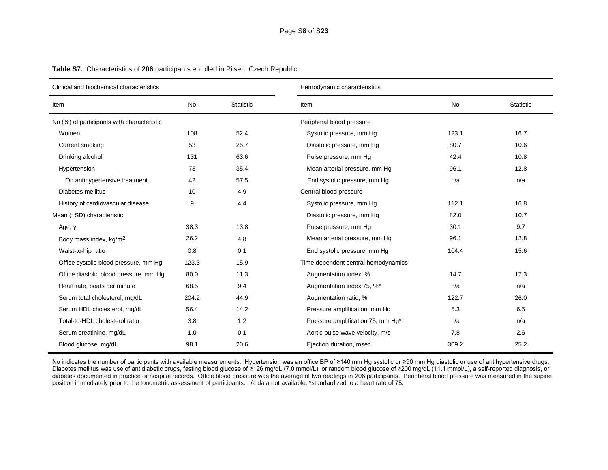| Clinical and biochemical characteristics   |           |                  | Hemodynamic characteristics         |           |                  |  |  |  |
|--------------------------------------------|-----------|------------------|-------------------------------------|-----------|------------------|--|--|--|
| Item                                       | <b>No</b> | <b>Statistic</b> | Item                                | <b>No</b> | <b>Statistic</b> |  |  |  |
| No (%) of participants with characteristic |           |                  | Peripheral blood pressure           |           |                  |  |  |  |
| Women                                      | 108       | 52.4             | Systolic pressure, mm Hg            | 123.1     | 16.7             |  |  |  |
| Current smoking                            | 53        | 25.7             | Diastolic pressure, mm Hg           | 80.7      | 10.6             |  |  |  |
| Drinking alcohol                           | 131       | 63.6             | Pulse pressure, mm Hg               | 42.4      | 10.8             |  |  |  |
| Hypertension                               | 73        | 35.4             | Mean arterial pressure, mm Hg       | 96.1      | 12.8             |  |  |  |
| On antihypertensive treatment              | 42        | 57.5             | End systolic pressure, mm Hg        | n/a       | n/a              |  |  |  |
| Diabetes mellitus                          | 10        | 4.9              | Central blood pressure              |           |                  |  |  |  |
| History of cardiovascular disease          | 9         | 4.4              | Systolic pressure, mm Hg            | 112.1     | 16.8             |  |  |  |
| Mean (±SD) characteristic                  |           |                  | Diastolic pressure, mm Hg           | 82.0      | 10.7             |  |  |  |
| Age, y                                     | 38.3      | 13.8             | Pulse pressure, mm Hq               | 30.1      | 9.7              |  |  |  |
| Body mass index, kg/m <sup>2</sup>         | 26.2      | 4.8              | Mean arterial pressure, mm Hg       | 96.1      | 12.8             |  |  |  |
| Waist-to-hip ratio                         | 0.8       | 0.1              | End systolic pressure, mm Hg        | 104.4     | 15.6             |  |  |  |
| Office systolic blood pressure, mm Hg      | 123.3     | 15.9             | Time dependent central hemodynamics |           |                  |  |  |  |
| Office diastolic blood pressure, mm Hg     | 80.0      | 11.3             | Augmentation index, %               | 14.7      | 17.3             |  |  |  |
| Heart rate, beats per minute               | 68.5      | 9.4              | Augmentation index 75, %*           | n/a       | n/a              |  |  |  |
| Serum total cholesterol, mg/dL             | 204.2     | 44.9             | Augmentation ratio, %               | 122.7     | 26.0             |  |  |  |
| Serum HDL cholesterol, mg/dL               | 56.4      | 14.2             | Pressure amplification, mm Hg       | 5.3       | 6.5              |  |  |  |
| Total-to-HDL cholesterol ratio             | 3.8       | 1.2              | Pressure amplification 75, mm Hg*   | n/a       | n/a              |  |  |  |
| Serum creatinine, mg/dL                    | 1.0       | 0.1              | Aortic pulse wave velocity, m/s     | 7.8       | 2.6              |  |  |  |
| Blood glucose, mg/dL                       | 98.1      | 20.6             | Ejection duration, msec             | 309.2     | 25.2             |  |  |  |

**Table S7.** Characteristics of **206** participants enrolled in Pilsen, Czech Republic

No indicates the number of participants with available measurements. Hypertension was an office BP of ≥140 mm Hg systolic or ≥90 mm Hg diastolic or use of antihypertensive drugs. Diabetes mellitus was use of antidiabetic drugs, fasting blood glucose of ≥126 mg/dL (7.0 mmol/L), or random blood glucose of ≥200 mg/dL (11.1 mmol/L), a self-reported diagnosis, or diabetes documented in practice or hospital records. Office blood pressure was the average of two readings in 206 participants. Peripheral blood pressure was measured in the supine position immediately prior to the tonometric assessment of participants. n/a data not available. \*standardized to a heart rate of 75.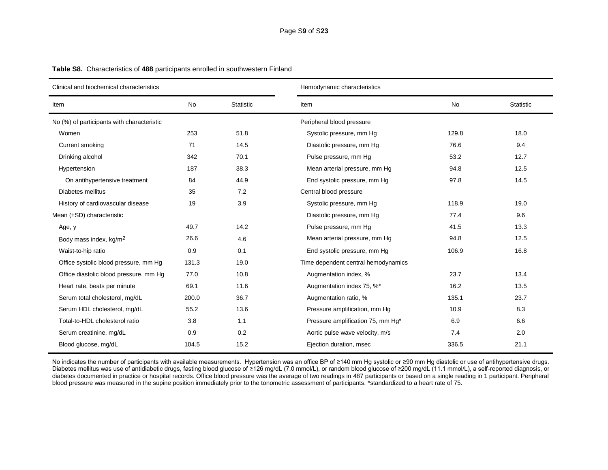| Clinical and biochemical characteristics   |           |                  | Hemodynamic characteristics         |           |                  |  |  |  |
|--------------------------------------------|-----------|------------------|-------------------------------------|-----------|------------------|--|--|--|
| Item                                       | <b>No</b> | <b>Statistic</b> | Item                                | <b>No</b> | <b>Statistic</b> |  |  |  |
| No (%) of participants with characteristic |           |                  | Peripheral blood pressure           |           |                  |  |  |  |
| Women                                      | 253       | 51.8             | Systolic pressure, mm Hg            | 129.8     | 18.0             |  |  |  |
| Current smoking                            | 71        | 14.5             | Diastolic pressure, mm Hg           | 76.6      | 9.4              |  |  |  |
| Drinking alcohol                           | 342       | 70.1             | Pulse pressure, mm Hg               | 53.2      | 12.7             |  |  |  |
| Hypertension                               | 187       | 38.3             | Mean arterial pressure, mm Hg       | 94.8      | 12.5             |  |  |  |
| On antihypertensive treatment              | 84        | 44.9             | End systolic pressure, mm Hg        | 97.8      | 14.5             |  |  |  |
| Diabetes mellitus                          | 35        | 7.2              | Central blood pressure              |           |                  |  |  |  |
| History of cardiovascular disease          | 19        | 3.9              | Systolic pressure, mm Hg            | 118.9     | 19.0             |  |  |  |
| Mean (±SD) characteristic                  |           |                  | Diastolic pressure, mm Hg           | 77.4      | 9.6              |  |  |  |
| Age, y                                     | 49.7      | 14.2             | Pulse pressure, mm Hq               | 41.5      | 13.3             |  |  |  |
| Body mass index, kg/m <sup>2</sup>         | 26.6      | 4.6              | Mean arterial pressure, mm Hg       | 94.8      | 12.5             |  |  |  |
| Waist-to-hip ratio                         | 0.9       | 0.1              | End systolic pressure, mm Hg        | 106.9     | 16.8             |  |  |  |
| Office systolic blood pressure, mm Hg      | 131.3     | 19.0             | Time dependent central hemodynamics |           |                  |  |  |  |
| Office diastolic blood pressure, mm Hg     | 77.0      | 10.8             | Augmentation index, %               | 23.7      | 13.4             |  |  |  |
| Heart rate, beats per minute               | 69.1      | 11.6             | Augmentation index 75, %*           | 16.2      | 13.5             |  |  |  |
| Serum total cholesterol, mg/dL             | 200.0     | 36.7             | Augmentation ratio, %               | 135.1     | 23.7             |  |  |  |
| Serum HDL cholesterol, mg/dL               | 55.2      | 13.6             | Pressure amplification, mm Hg       | 10.9      | 8.3              |  |  |  |
| Total-to-HDL cholesterol ratio             | 3.8       | 1.1              | Pressure amplification 75, mm Hg*   | 6.9       | 6.6              |  |  |  |
| Serum creatinine, mg/dL                    | 0.9       | 0.2              | Aortic pulse wave velocity, m/s     | 7.4       | 2.0              |  |  |  |
| Blood glucose, mg/dL                       | 104.5     | 15.2             | Ejection duration, msec             | 336.5     | 21.1             |  |  |  |

**Table S8.** Characteristics of **488** participants enrolled in southwestern Finland

No indicates the number of participants with available measurements. Hypertension was an office BP of ≥140 mm Hg systolic or ≥90 mm Hg diastolic or use of antihypertensive drugs. Diabetes mellitus was use of antidiabetic drugs, fasting blood glucose of ≥126 mg/dL (7.0 mmol/L), or random blood glucose of ≥200 mg/dL (11.1 mmol/L), a self-reported diagnosis, or diabetes documented in practice or hospital records. Office blood pressure was the average of two readings in 487 participants or based on a single reading in 1 participant. Peripheral blood pressure was measured in the supine position immediately prior to the tonometric assessment of participants. \*standardized to a heart rate of 75.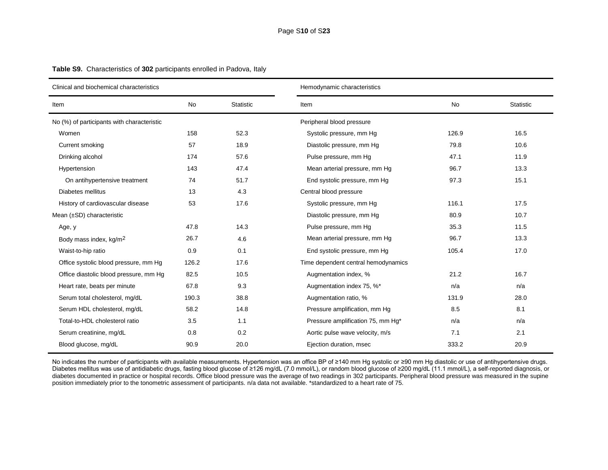| Clinical and biochemical characteristics   |           |                  | Hemodynamic characteristics         |           |           |  |  |
|--------------------------------------------|-----------|------------------|-------------------------------------|-----------|-----------|--|--|
| Item                                       | <b>No</b> | <b>Statistic</b> | Item                                | <b>No</b> | Statistic |  |  |
| No (%) of participants with characteristic |           |                  | Peripheral blood pressure           |           |           |  |  |
| Women                                      | 158       | 52.3             | Systolic pressure, mm Hg            | 126.9     | 16.5      |  |  |
| Current smoking                            | 57        | 18.9             | Diastolic pressure, mm Hg           | 79.8      | 10.6      |  |  |
| Drinking alcohol                           | 174       | 57.6             | Pulse pressure, mm Hq               | 47.1      | 11.9      |  |  |
| Hypertension                               | 143       | 47.4             | Mean arterial pressure, mm Hg       | 96.7      | 13.3      |  |  |
| On antihypertensive treatment              | 74        | 51.7             | End systolic pressure, mm Hg        | 97.3      | 15.1      |  |  |
| Diabetes mellitus                          | 13        | 4.3              | Central blood pressure              |           |           |  |  |
| History of cardiovascular disease          | 53        | 17.6             | Systolic pressure, mm Hg            | 116.1     | 17.5      |  |  |
| Mean $(\pm SD)$ characteristic             |           |                  | Diastolic pressure, mm Hg           | 80.9      | 10.7      |  |  |
| Age, y                                     | 47.8      | 14.3             | Pulse pressure, mm Hg               | 35.3      | 11.5      |  |  |
| Body mass index, kg/m <sup>2</sup>         | 26.7      | 4.6              | Mean arterial pressure, mm Hg       | 96.7      | 13.3      |  |  |
| Waist-to-hip ratio                         | 0.9       | 0.1              | End systolic pressure, mm Hg        | 105.4     | 17.0      |  |  |
| Office systolic blood pressure, mm Hg      | 126.2     | 17.6             | Time dependent central hemodynamics |           |           |  |  |
| Office diastolic blood pressure, mm Hq     | 82.5      | 10.5             | Augmentation index, %               | 21.2      | 16.7      |  |  |
| Heart rate, beats per minute               | 67.8      | 9.3              | Augmentation index 75, %*           | n/a       | n/a       |  |  |
| Serum total cholesterol, mg/dL             | 190.3     | 38.8             | Augmentation ratio, %               | 131.9     | 28.0      |  |  |
| Serum HDL cholesterol, mg/dL               | 58.2      | 14.8             | Pressure amplification, mm Hg       | 8.5       | 8.1       |  |  |
| Total-to-HDL cholesterol ratio             | 3.5       | 1.1              | Pressure amplification 75, mm Hg*   | n/a       | n/a       |  |  |
| Serum creatinine, mg/dL                    | 0.8       | 0.2              | Aortic pulse wave velocity, m/s     | 7.1       | 2.1       |  |  |
| Blood glucose, mg/dL                       | 90.9      | 20.0             | Ejection duration, msec             | 333.2     | 20.9      |  |  |

**Table S9.** Characteristics of **302** participants enrolled in Padova, Italy

No indicates the number of participants with available measurements. Hypertension was an office BP of ≥140 mm Hg systolic or ≥90 mm Hg diastolic or use of antihypertensive drugs. Diabetes mellitus was use of antidiabetic drugs, fasting blood glucose of ≥126 mg/dL (7.0 mmol/L), or random blood glucose of ≥200 mg/dL (11.1 mmol/L), a self-reported diagnosis, or diabetes documented in practice or hospital records. Office blood pressure was the average of two readings in 302 participants. Peripheral blood pressure was measured in the supine position immediately prior to the tonometric assessment of participants. n/a data not available. \*standardized to a heart rate of 75.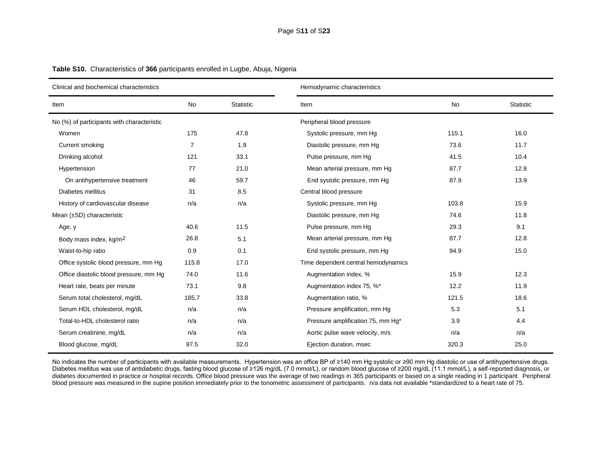| Clinical and biochemical characteristics   |           |                  | Hemodynamic characteristics         |           |                  |  |  |
|--------------------------------------------|-----------|------------------|-------------------------------------|-----------|------------------|--|--|
| Item                                       | <b>No</b> | <b>Statistic</b> | Item                                | <b>No</b> | <b>Statistic</b> |  |  |
| No (%) of participants with characteristic |           |                  | Peripheral blood pressure           |           |                  |  |  |
| Women                                      | 175       | 47.8             | Systolic pressure, mm Hg            | 115.1     | 16.0             |  |  |
| Current smoking                            | 7         | 1.9              | Diastolic pressure, mm Hg           | 73.6      | 11.7             |  |  |
| Drinking alcohol                           | 121       | 33.1             | Pulse pressure, mm Hg               | 41.5      | 10.4             |  |  |
| Hypertension                               | 77        | 21.0             | Mean arterial pressure, mm Hg       | 87.7      | 12.8             |  |  |
| On antihypertensive treatment              | 46        | 59.7             | End systolic pressure, mm Hg        | 87.9      | 13.9             |  |  |
| Diabetes mellitus                          | 31        | 8.5              | Central blood pressure              |           |                  |  |  |
| History of cardiovascular disease          | n/a       | n/a              | Systolic pressure, mm Hg            | 103.8     | 15.9             |  |  |
| Mean (±SD) characteristic                  |           |                  | Diastolic pressure, mm Hg           | 74.6      | 11.8             |  |  |
| Age, y                                     | 40.6      | 11.5             | Pulse pressure, mm Hq               | 29.3      | 9.1              |  |  |
| Body mass index, kg/m <sup>2</sup>         | 26.8      | 5.1              | Mean arterial pressure, mm Hg       | 87.7      | 12.8             |  |  |
| Waist-to-hip ratio                         | 0.9       | 0.1              | End systolic pressure, mm Hg        | 94.9      | 15.0             |  |  |
| Office systolic blood pressure, mm Hg      | 115.8     | 17.0             | Time dependent central hemodynamics |           |                  |  |  |
| Office diastolic blood pressure, mm Hg     | 74.0      | 11.6             | Augmentation index, %               | 15.9      | 12.3             |  |  |
| Heart rate, beats per minute               | 73.1      | 9.8              | Augmentation index 75, %*           | 12.2      | 11.9             |  |  |
| Serum total cholesterol, mg/dL             | 185.7     | 33.8             | Augmentation ratio, %               | 121.5     | 18.6             |  |  |
| Serum HDL cholesterol, mg/dL               | n/a       | n/a              | Pressure amplification, mm Hg       | 5.3       | 5.1              |  |  |
| Total-to-HDL cholesterol ratio             | n/a       | n/a              | Pressure amplification 75, mm Hg*   | 3.9       | 4.4              |  |  |
| Serum creatinine, mg/dL                    | n/a       | n/a              | Aortic pulse wave velocity, m/s     | n/a       | n/a              |  |  |
| Blood glucose, mg/dL                       | 97.5      | 32.0             | Ejection duration, msec             | 320.3     | 25.0             |  |  |

**Table S10.** Characteristics of **366** participants enrolled in Lugbe, Abuja, Nigeria

No indicates the number of participants with available measurements. Hypertension was an office BP of ≥140 mm Hg systolic or ≥90 mm Hg diastolic or use of antihypertensive drugs. Diabetes mellitus was use of antidiabetic drugs, fasting blood glucose of ≥126 mg/dL (7.0 mmol/L), or random blood glucose of ≥200 mg/dL (11.1 mmol/L), a self-reported diagnosis, or diabetes documented in practice or hospital records. Office blood pressure was the average of two readings in 365 participants or based on a single reading in 1 participant. Peripheral blood pressure was measured in the supine position immediately prior to the tonometric assessment of participants. n/a data not available \*standardized to a heart rate of 75.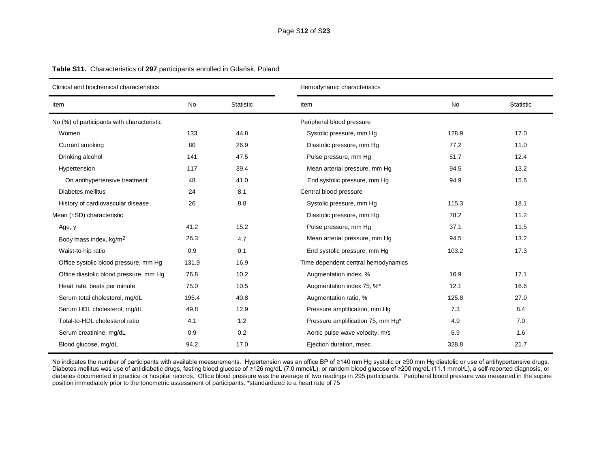| Clinical and biochemical characteristics   |           |                  | Hemodynamic characteristics         |           |           |  |  |  |
|--------------------------------------------|-----------|------------------|-------------------------------------|-----------|-----------|--|--|--|
| Item                                       | <b>No</b> | <b>Statistic</b> | Item                                | <b>No</b> | Statistic |  |  |  |
| No (%) of participants with characteristic |           |                  | Peripheral blood pressure           |           |           |  |  |  |
| Women                                      | 133       | 44.8             | Systolic pressure, mm Hg            | 128.9     | 17.0      |  |  |  |
| Current smoking                            | 80        | 26.9             | Diastolic pressure, mm Hg           | 77.2      | 11.0      |  |  |  |
| Drinking alcohol                           | 141       | 47.5             | Pulse pressure, mm Hq               | 51.7      | 12.4      |  |  |  |
| Hypertension                               | 117       | 39.4             | Mean arterial pressure, mm Hg       | 94.5      | 13.2      |  |  |  |
| On antihypertensive treatment              | 48        | 41.0             | End systolic pressure, mm Hg        | 94.9      | 15.6      |  |  |  |
| Diabetes mellitus                          | 24        | 8.1              | Central blood pressure              |           |           |  |  |  |
| History of cardiovascular disease          | 26        | 8.8              | Systolic pressure, mm Hq            | 115.3     | 18.1      |  |  |  |
| Mean $(\pm SD)$ characteristic             |           |                  | Diastolic pressure, mm Hg           | 78.2      | 11.2      |  |  |  |
| Age, y                                     | 41.2      | 15.2             | Pulse pressure, mm Hg               | 37.1      | 11.5      |  |  |  |
| Body mass index, kg/m <sup>2</sup>         | 26.3      | 4.7              | Mean arterial pressure, mm Hg       | 94.5      | 13.2      |  |  |  |
| Waist-to-hip ratio                         | 0.9       | 0.1              | End systolic pressure, mm Hg        | 103.2     | 17.3      |  |  |  |
| Office systolic blood pressure, mm Hg      | 131.9     | 16.9             | Time dependent central hemodynamics |           |           |  |  |  |
| Office diastolic blood pressure, mm Hg     | 76.8      | 10.2             | Augmentation index, %               | 16.9      | 17.1      |  |  |  |
| Heart rate, beats per minute               | 75.0      | 10.5             | Augmentation index 75, %*           | 12.1      | 16.6      |  |  |  |
| Serum total cholesterol, mg/dL             | 195.4     | 40.8             | Augmentation ratio, %               | 125.8     | 27.9      |  |  |  |
| Serum HDL cholesterol, mg/dL               | 49.8      | 12.9             | Pressure amplification, mm Hg       | 7.3       | 8.4       |  |  |  |
| Total-to-HDL cholesterol ratio             | 4.1       | 1.2              | Pressure amplification 75, mm Hg*   | 4.9       | 7.0       |  |  |  |
| Serum creatinine, mg/dL                    | 0.9       | 0.2              | Aortic pulse wave velocity, m/s     | 6.9       | 1.6       |  |  |  |
| Blood glucose, mg/dL                       | 94.2      | 17.0             | Ejection duration, msec             | 328.8     | 21.7      |  |  |  |

**Table S11.** Characteristics of **297** participants enrolled in Gdańsk, Poland

No indicates the number of participants with available measurements. Hypertension was an office BP of ≥140 mm Hg systolic or ≥90 mm Hg diastolic or use of antihypertensive drugs. Diabetes mellitus was use of antidiabetic drugs, fasting blood glucose of ≥126 mg/dL (7.0 mmol/L), or random blood glucose of ≥200 mg/dL (11.1 mmol/L), a self-reported diagnosis, or diabetes documented in practice or hospital records. Office blood pressure was the average of two readings in 295 participants. Peripheral blood pressure was measured in the supine position immediately prior to the tonometric assessment of participants. \*standardized to a heart rate of 75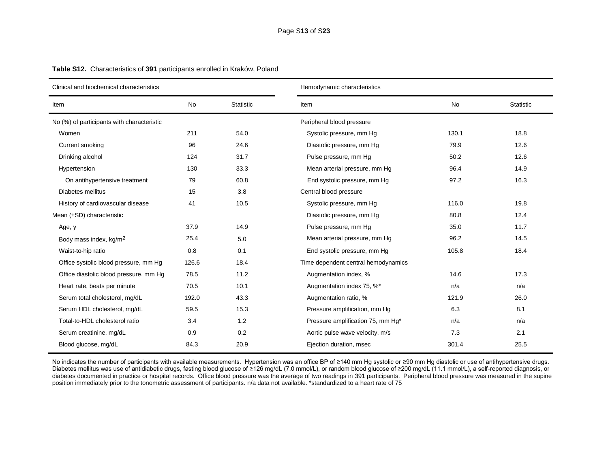| Clinical and biochemical characteristics   |           |                  | Hemodynamic characteristics         |       |                  |  |  |  |
|--------------------------------------------|-----------|------------------|-------------------------------------|-------|------------------|--|--|--|
| Item                                       | <b>No</b> | <b>Statistic</b> | Item                                | No    | <b>Statistic</b> |  |  |  |
| No (%) of participants with characteristic |           |                  | Peripheral blood pressure           |       |                  |  |  |  |
| Women                                      | 211       | 54.0             | Systolic pressure, mm Hg            | 130.1 | 18.8             |  |  |  |
| Current smoking                            | 96        | 24.6             | Diastolic pressure, mm Hg           | 79.9  | 12.6             |  |  |  |
| Drinking alcohol                           | 124       | 31.7             | Pulse pressure, mm Hq               | 50.2  | 12.6             |  |  |  |
| Hypertension                               | 130       | 33.3             | Mean arterial pressure, mm Hg       | 96.4  | 14.9             |  |  |  |
| On antihypertensive treatment              | 79        | 60.8             | End systolic pressure, mm Hg        | 97.2  | 16.3             |  |  |  |
| Diabetes mellitus                          | 15        | 3.8              | Central blood pressure              |       |                  |  |  |  |
| History of cardiovascular disease          | 41        | 10.5             | Systolic pressure, mm Hg            | 116.0 | 19.8             |  |  |  |
| Mean $(\pm SD)$ characteristic             |           |                  | Diastolic pressure, mm Hg           | 80.8  | 12.4             |  |  |  |
| Age, y                                     | 37.9      | 14.9             | Pulse pressure, mm Hg               | 35.0  | 11.7             |  |  |  |
| Body mass index, kg/m <sup>2</sup>         | 25.4      | 5.0              | Mean arterial pressure, mm Hg       | 96.2  | 14.5             |  |  |  |
| Waist-to-hip ratio                         | 0.8       | 0.1              | End systolic pressure, mm Hg        | 105.8 | 18.4             |  |  |  |
| Office systolic blood pressure, mm Hg      | 126.6     | 18.4             | Time dependent central hemodynamics |       |                  |  |  |  |
| Office diastolic blood pressure, mm Hg     | 78.5      | 11.2             | Augmentation index, %               | 14.6  | 17.3             |  |  |  |
| Heart rate, beats per minute               | 70.5      | 10.1             | Augmentation index 75, %*           | n/a   | n/a              |  |  |  |
| Serum total cholesterol, mg/dL             | 192.0     | 43.3             | Augmentation ratio, %               | 121.9 | 26.0             |  |  |  |
| Serum HDL cholesterol, mg/dL               | 59.5      | 15.3             | Pressure amplification, mm Hg       | 6.3   | 8.1              |  |  |  |
| Total-to-HDL cholesterol ratio             | 3.4       | 1.2              | Pressure amplification 75, mm Hg*   | n/a   | n/a              |  |  |  |
| Serum creatinine, mg/dL                    | 0.9       | 0.2              | Aortic pulse wave velocity, m/s     | 7.3   | 2.1              |  |  |  |
| Blood glucose, mg/dL                       | 84.3      | 20.9             | Ejection duration, msec             | 301.4 | 25.5             |  |  |  |

**Table S12.** Characteristics of **391** participants enrolled in Kraków, Poland

No indicates the number of participants with available measurements. Hypertension was an office BP of ≥140 mm Hg systolic or ≥90 mm Hg diastolic or use of antihypertensive drugs. Diabetes mellitus was use of antidiabetic drugs, fasting blood glucose of ≥126 mg/dL (7.0 mmol/L), or random blood glucose of ≥200 mg/dL (11.1 mmol/L), a self-reported diagnosis, or diabetes documented in practice or hospital records. Office blood pressure was the average of two readings in 391 participants. Peripheral blood pressure was measured in the supine position immediately prior to the tonometric assessment of participants. n/a data not available. \*standardized to a heart rate of 75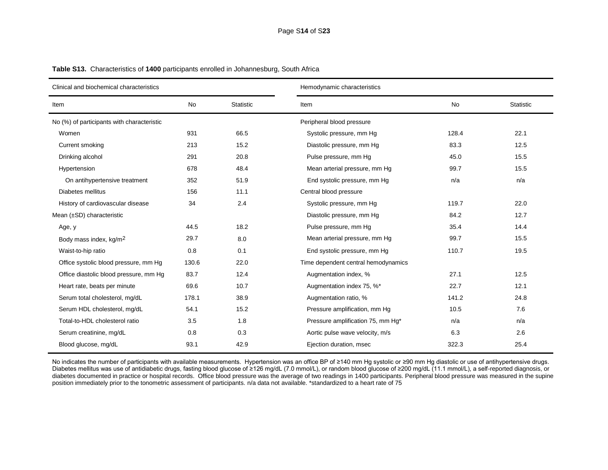| Clinical and biochemical characteristics   |       |                  | Hemodynamic characteristics         |           |      |  |
|--------------------------------------------|-------|------------------|-------------------------------------|-----------|------|--|
| Item                                       | No    | <b>Statistic</b> | Item                                | <b>No</b> |      |  |
| No (%) of participants with characteristic |       |                  | Peripheral blood pressure           |           |      |  |
| Women                                      | 931   | 66.5             | Systolic pressure, mm Hg            | 128.4     | 22.1 |  |
| Current smoking                            | 213   | 15.2             | Diastolic pressure, mm Hg           | 83.3      | 12.5 |  |
| Drinking alcohol                           | 291   | 20.8             | Pulse pressure, mm Hq               | 45.0      | 15.5 |  |
| Hypertension                               | 678   | 48.4             | Mean arterial pressure, mm Hg       | 99.7      | 15.5 |  |
| On antihypertensive treatment              | 352   | 51.9             | End systolic pressure, mm Hg        | n/a       | n/a  |  |
| Diabetes mellitus                          | 156   | 11.1             | Central blood pressure              |           |      |  |
| History of cardiovascular disease          | 34    | 2.4              | Systolic pressure, mm Hg            | 119.7     | 22.0 |  |
| Mean $(\pm SD)$ characteristic             |       |                  | Diastolic pressure, mm Hg           | 84.2      | 12.7 |  |
| Age, y                                     | 44.5  | 18.2             | Pulse pressure, mm Hq               | 35.4      | 14.4 |  |
| Body mass index, kg/m <sup>2</sup>         | 29.7  | 8.0              | Mean arterial pressure, mm Hg       | 99.7      | 15.5 |  |
| Waist-to-hip ratio                         | 0.8   | 0.1              | End systolic pressure, mm Hg        | 110.7     | 19.5 |  |
| Office systolic blood pressure, mm Hg      | 130.6 | 22.0             | Time dependent central hemodynamics |           |      |  |
| Office diastolic blood pressure, mm Hg     | 83.7  | 12.4             | Augmentation index, %               | 27.1      | 12.5 |  |
| Heart rate, beats per minute               | 69.6  | 10.7             | Augmentation index 75, %*           | 22.7      | 12.1 |  |
| Serum total cholesterol, mg/dL             | 178.1 | 38.9             | Augmentation ratio, %               | 141.2     | 24.8 |  |
| Serum HDL cholesterol, mg/dL               | 54.1  | 15.2             | Pressure amplification, mm Hg       | 10.5      | 7.6  |  |
| Total-to-HDL cholesterol ratio             | 3.5   | 1.8              | Pressure amplification 75, mm Hg*   | n/a       | n/a  |  |
| Serum creatinine, mg/dL                    | 0.8   | 0.3              | Aortic pulse wave velocity, m/s     | 6.3       | 2.6  |  |
| Blood glucose, mg/dL                       | 93.1  | 42.9             | Ejection duration, msec             | 322.3     | 25.4 |  |

**Table S13.** Characteristics of **1400** participants enrolled in Johannesburg, South Africa

No indicates the number of participants with available measurements. Hypertension was an office BP of ≥140 mm Hg systolic or ≥90 mm Hg diastolic or use of antihypertensive drugs. Diabetes mellitus was use of antidiabetic drugs, fasting blood glucose of ≥126 mg/dL (7.0 mmol/L), or random blood glucose of ≥200 mg/dL (11.1 mmol/L), a self-reported diagnosis, or diabetes documented in practice or hospital records. Office blood pressure was the average of two readings in 1400 participants. Peripheral blood pressure was measured in the supine position immediately prior to the tonometric assessment of participants. n/a data not available. \*standardized to a heart rate of 75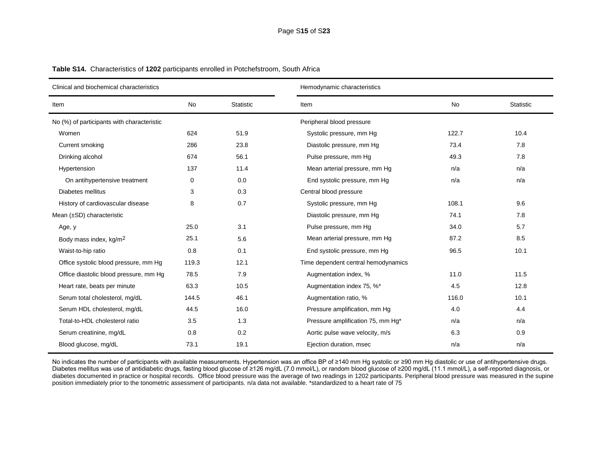| Clinical and biochemical characteristics   |           |                  | Hemodynamic characteristics         |       |                  |  |  |
|--------------------------------------------|-----------|------------------|-------------------------------------|-------|------------------|--|--|
| Item                                       | <b>No</b> | <b>Statistic</b> | <b>No</b><br>Item                   |       | <b>Statistic</b> |  |  |
| No (%) of participants with characteristic |           |                  | Peripheral blood pressure           |       |                  |  |  |
| Women                                      | 624       | 51.9             | Systolic pressure, mm Hg            | 122.7 | 10.4             |  |  |
| Current smoking                            | 286       | 23.8             | Diastolic pressure, mm Hg           | 73.4  | 7.8              |  |  |
| Drinking alcohol                           | 674       | 56.1             | Pulse pressure, mm Hq               | 49.3  | 7.8              |  |  |
| Hypertension                               | 137       | 11.4             | Mean arterial pressure, mm Hg       | n/a   | n/a              |  |  |
| On antihypertensive treatment              | 0         | 0.0              | End systolic pressure, mm Hg        | n/a   | n/a              |  |  |
| Diabetes mellitus                          | 3         | 0.3              | Central blood pressure              |       |                  |  |  |
| History of cardiovascular disease          | 8         | 0.7              | Systolic pressure, mm Hg            | 108.1 | 9.6              |  |  |
| Mean $(\pm SD)$ characteristic             |           |                  | Diastolic pressure, mm Hg           | 74.1  | 7.8              |  |  |
| Age, y                                     | 25.0      | 3.1              | Pulse pressure, mm Hg               | 34.0  | 5.7              |  |  |
| Body mass index, kg/m <sup>2</sup>         | 25.1      | 5.6              | Mean arterial pressure, mm Hg       | 87.2  | 8.5              |  |  |
| Waist-to-hip ratio                         | 0.8       | 0.1              | End systolic pressure, mm Hg        | 96.5  | 10.1             |  |  |
| Office systolic blood pressure, mm Hg      | 119.3     | 12.1             | Time dependent central hemodynamics |       |                  |  |  |
| Office diastolic blood pressure, mm Hg     | 78.5      | 7.9              | Augmentation index, %               | 11.0  | 11.5             |  |  |
| Heart rate, beats per minute               | 63.3      | 10.5             | Augmentation index 75, %*           | 4.5   | 12.8             |  |  |
| Serum total cholesterol, mg/dL             | 144.5     | 46.1             | Augmentation ratio, %               | 116.0 | 10.1             |  |  |
| Serum HDL cholesterol, mg/dL               | 44.5      | 16.0             | Pressure amplification, mm Hg       | 4.0   | 4.4              |  |  |
| Total-to-HDL cholesterol ratio             | 3.5       | 1.3              | Pressure amplification 75, mm Hg*   | n/a   | n/a              |  |  |
| Serum creatinine, mg/dL                    | 0.8       | 0.2              | Aortic pulse wave velocity, m/s     | 6.3   | 0.9              |  |  |
| Blood glucose, mg/dL                       | 73.1      | 19.1             | Ejection duration, msec             | n/a   | n/a              |  |  |

**Table S14.** Characteristics of **1202** participants enrolled in Potchefstroom, South Africa

No indicates the number of participants with available measurements. Hypertension was an office BP of ≥140 mm Hg systolic or ≥90 mm Hg diastolic or use of antihypertensive drugs. Diabetes mellitus was use of antidiabetic drugs, fasting blood glucose of ≥126 mg/dL (7.0 mmol/L), or random blood glucose of ≥200 mg/dL (11.1 mmol/L), a self-reported diagnosis, or diabetes documented in practice or hospital records. Office blood pressure was the average of two readings in 1202 participants. Peripheral blood pressure was measured in the supine position immediately prior to the tonometric assessment of participants. n/a data not available. \*standardized to a heart rate of 75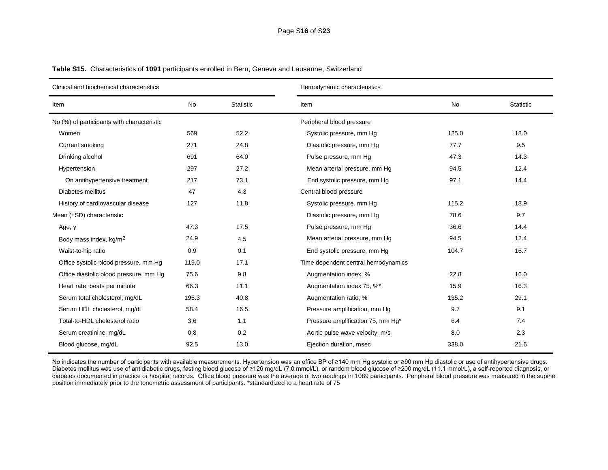| Clinical and biochemical characteristics   |       |                  | Hemodynamic characteristics         |           |      |  |  |
|--------------------------------------------|-------|------------------|-------------------------------------|-----------|------|--|--|
| Item                                       | No    | <b>Statistic</b> | Item                                | <b>No</b> |      |  |  |
| No (%) of participants with characteristic |       |                  | Peripheral blood pressure           |           |      |  |  |
| Women                                      | 569   | 52.2             | Systolic pressure, mm Hg            | 125.0     | 18.0 |  |  |
| Current smoking                            | 271   | 24.8             | Diastolic pressure, mm Hg           | 77.7      | 9.5  |  |  |
| Drinking alcohol                           | 691   | 64.0             | Pulse pressure, mm Hg               | 47.3      | 14.3 |  |  |
| Hypertension                               | 297   | 27.2             | Mean arterial pressure, mm Hg       | 94.5      | 12.4 |  |  |
| On antihypertensive treatment              | 217   | 73.1             | End systolic pressure, mm Hg        | 97.1      | 14.4 |  |  |
| Diabetes mellitus                          | 47    | 4.3              | Central blood pressure              |           |      |  |  |
| History of cardiovascular disease          | 127   | 11.8             | Systolic pressure, mm Hg            | 115.2     | 18.9 |  |  |
| Mean $(\pm SD)$ characteristic             |       |                  | Diastolic pressure, mm Hg           | 78.6      | 9.7  |  |  |
| Age, y                                     | 47.3  | 17.5             | Pulse pressure, mm Hq               | 36.6      | 14.4 |  |  |
| Body mass index, kg/m <sup>2</sup>         | 24.9  | 4.5              | Mean arterial pressure, mm Hg       | 94.5      | 12.4 |  |  |
| Waist-to-hip ratio                         | 0.9   | 0.1              | End systolic pressure, mm Hg        | 104.7     | 16.7 |  |  |
| Office systolic blood pressure, mm Hg      | 119.0 | 17.1             | Time dependent central hemodynamics |           |      |  |  |
| Office diastolic blood pressure, mm Hg     | 75.6  | 9.8              | Augmentation index, %               | 22.8      | 16.0 |  |  |
| Heart rate, beats per minute               | 66.3  | 11.1             | Augmentation index 75, %*           | 15.9      | 16.3 |  |  |
| Serum total cholesterol, mg/dL             | 195.3 | 40.8             | Augmentation ratio, %               | 135.2     | 29.1 |  |  |
| Serum HDL cholesterol, mg/dL               | 58.4  | 16.5             | Pressure amplification, mm Hg       | 9.7       | 9.1  |  |  |
| Total-to-HDL cholesterol ratio             | 3.6   | 1.1              | Pressure amplification 75, mm Hg*   | 6.4       | 7.4  |  |  |
| Serum creatinine, mg/dL                    | 0.8   | 0.2              | Aortic pulse wave velocity, m/s     | 8.0       | 2.3  |  |  |
| Blood glucose, mg/dL                       | 92.5  | 13.0             | Ejection duration, msec             | 338.0     | 21.6 |  |  |

**Table S15.** Characteristics of **1091** participants enrolled in Bern, Geneva and Lausanne, Switzerland

No indicates the number of participants with available measurements. Hypertension was an office BP of ≥140 mm Hg systolic or ≥90 mm Hg diastolic or use of antihypertensive drugs. Diabetes mellitus was use of antidiabetic drugs, fasting blood glucose of ≥126 mg/dL (7.0 mmol/L), or random blood glucose of ≥200 mg/dL (11.1 mmol/L), a self-reported diagnosis, or diabetes documented in practice or hospital records. Office blood pressure was the average of two readings in 1089 participants. Peripheral blood pressure was measured in the supine position immediately prior to the tonometric assessment of participants. \*standardized to a heart rate of 75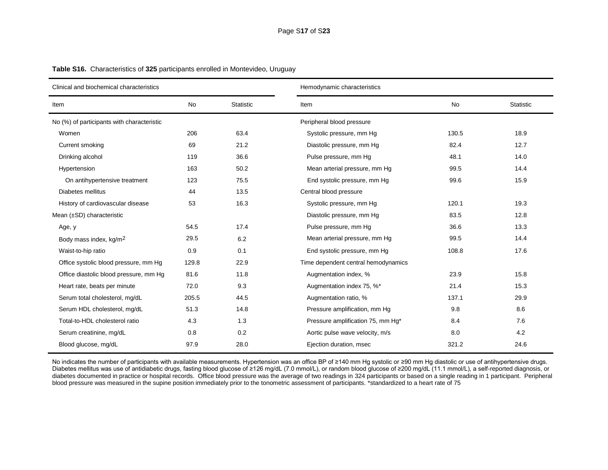| Clinical and biochemical characteristics   |       |           | Hemodynamic characteristics         |       |                  |  |  |
|--------------------------------------------|-------|-----------|-------------------------------------|-------|------------------|--|--|
| Item                                       | No    | Statistic | Item                                | No    | <b>Statistic</b> |  |  |
| No (%) of participants with characteristic |       |           | Peripheral blood pressure           |       |                  |  |  |
| Women                                      | 206   | 63.4      | Systolic pressure, mm Hg            | 130.5 | 18.9             |  |  |
| Current smoking                            | 69    | 21.2      | Diastolic pressure, mm Hg           | 82.4  | 12.7             |  |  |
| Drinking alcohol                           | 119   | 36.6      | Pulse pressure, mm Hg               | 48.1  | 14.0             |  |  |
| Hypertension                               | 163   | 50.2      | Mean arterial pressure, mm Hg       | 99.5  | 14.4             |  |  |
| On antihypertensive treatment              | 123   | 75.5      | End systolic pressure, mm Hg        | 99.6  | 15.9             |  |  |
| Diabetes mellitus                          | 44    | 13.5      | Central blood pressure              |       |                  |  |  |
| History of cardiovascular disease          | 53    | 16.3      | Systolic pressure, mm Hg            | 120.1 | 19.3             |  |  |
| Mean $(\pm SD)$ characteristic             |       |           | Diastolic pressure, mm Hg           | 83.5  | 12.8             |  |  |
| Age, y                                     | 54.5  | 17.4      | Pulse pressure, mm Hq               | 36.6  | 13.3             |  |  |
| Body mass index, kg/m <sup>2</sup>         | 29.5  | 6.2       | Mean arterial pressure, mm Hg       | 99.5  | 14.4             |  |  |
| Waist-to-hip ratio                         | 0.9   | 0.1       | End systolic pressure, mm Hg        | 108.8 | 17.6             |  |  |
| Office systolic blood pressure, mm Hg      | 129.8 | 22.9      | Time dependent central hemodynamics |       |                  |  |  |
| Office diastolic blood pressure, mm Hg     | 81.6  | 11.8      | Augmentation index, %               | 23.9  | 15.8             |  |  |
| Heart rate, beats per minute               | 72.0  | 9.3       | Augmentation index 75, %*           | 21.4  | 15.3             |  |  |
| Serum total cholesterol, mg/dL             | 205.5 | 44.5      | Augmentation ratio, %               | 137.1 | 29.9             |  |  |
| Serum HDL cholesterol, mg/dL               | 51.3  | 14.8      | Pressure amplification, mm Hg       | 9.8   | 8.6              |  |  |
| Total-to-HDL cholesterol ratio             | 4.3   | 1.3       | Pressure amplification 75, mm Hg*   | 8.4   | 7.6              |  |  |
| Serum creatinine, mg/dL                    | 0.8   | 0.2       | Aortic pulse wave velocity, m/s     | 8.0   | 4.2              |  |  |
| Blood glucose, mg/dL                       | 97.9  | 28.0      | Ejection duration, msec             | 321.2 | 24.6             |  |  |

**Table S16.** Characteristics of **325** participants enrolled in Montevideo, Uruguay

No indicates the number of participants with available measurements. Hypertension was an office BP of ≥140 mm Hg systolic or ≥90 mm Hg diastolic or use of antihypertensive drugs. Diabetes mellitus was use of antidiabetic drugs, fasting blood glucose of ≥126 mg/dL (7.0 mmol/L), or random blood glucose of ≥200 mg/dL (11.1 mmol/L), a self-reported diagnosis, or diabetes documented in practice or hospital records. Office blood pressure was the average of two readings in 324 participants or based on a single reading in 1 participant. Peripheral blood pressure was measured in the supine position immediately prior to the tonometric assessment of participants. \*standardized to a heart rate of 75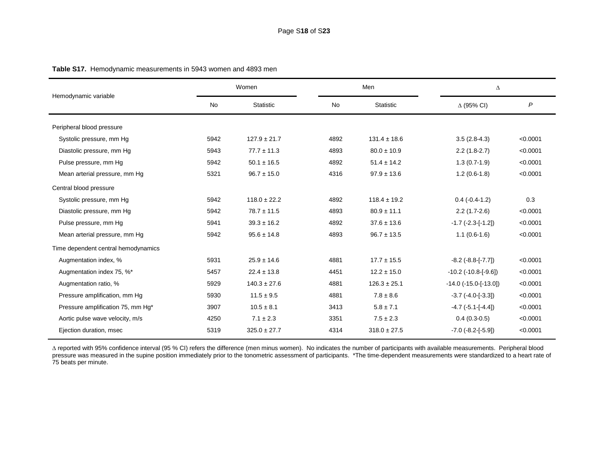|                                     |      | Women            | Men  |                  | Δ                               |          |
|-------------------------------------|------|------------------|------|------------------|---------------------------------|----------|
| Hemodynamic variable                | No   | <b>Statistic</b> | No   | <b>Statistic</b> | $\Delta$ (95% CI)               | P        |
| Peripheral blood pressure           |      |                  |      |                  |                                 |          |
| Systolic pressure, mm Hg            | 5942 | $127.9 \pm 21.7$ | 4892 | $131.4 \pm 18.6$ | $3.5(2.8-4.3)$                  | < 0.0001 |
| Diastolic pressure, mm Hg           | 5943 | $77.7 \pm 11.3$  | 4893 | $80.0 \pm 10.9$  | $2.2(1.8-2.7)$                  | < 0.0001 |
| Pulse pressure, mm Hq               | 5942 | $50.1 \pm 16.5$  | 4892 | $51.4 \pm 14.2$  | $1.3(0.7-1.9)$                  | < 0.0001 |
| Mean arterial pressure, mm Hg       | 5321 | $96.7 \pm 15.0$  | 4316 | $97.9 \pm 13.6$  | $1.2(0.6-1.8)$                  | < 0.0001 |
| Central blood pressure              |      |                  |      |                  |                                 |          |
| Systolic pressure, mm Hg            | 5942 | $118.0 \pm 22.2$ | 4892 | $118.4 \pm 19.2$ | $0.4 (-0.4 - 1.2)$              | 0.3      |
| Diastolic pressure, mm Hg           | 5942 | $78.7 \pm 11.5$  | 4893 | $80.9 \pm 11.1$  | $2.2(1.7-2.6)$                  | < 0.0001 |
| Pulse pressure, mm Hq               | 5941 | $39.3 \pm 16.2$  | 4892 | $37.6 \pm 13.6$  | $-1.7$ $(-2.3 - [-1.2])$        | < 0.0001 |
| Mean arterial pressure, mm Hg       | 5942 | $95.6 \pm 14.8$  | 4893 | $96.7 \pm 13.5$  | $1.1(0.6-1.6)$                  | < 0.0001 |
| Time dependent central hemodynamics |      |                  |      |                  |                                 |          |
| Augmentation index, %               | 5931 | $25.9 \pm 14.6$  | 4881 | $17.7 \pm 15.5$  | $-8.2$ ( $-8.8$ -[ $-7.7$ ])    | < 0.0001 |
| Augmentation index 75, %*           | 5457 | $22.4 \pm 13.8$  | 4451 | $12.2 \pm 15.0$  | $-10.2$ ( $-10.8$ -[ $-9.6$ ])  | < 0.0001 |
| Augmentation ratio, %               | 5929 | $140.3 \pm 27.6$ | 4881 | $126.3 \pm 25.1$ | $-14.0$ ( $-15.0$ -[ $-13.0$ ]) | < 0.0001 |
| Pressure amplification, mm Hg       | 5930 | $11.5 \pm 9.5$   | 4881 | $7.8 \pm 8.6$    | $-3.7(-4.0[-3.3])$              | < 0.0001 |
| Pressure amplification 75, mm Hg*   | 3907 | $10.5 \pm 8.1$   | 3413 | $5.8 \pm 7.1$    | $-4.7$ ( $-5.1$ -[ $-4.4$ ])    | < 0.0001 |
| Aortic pulse wave velocity, m/s     | 4250 | $7.1 \pm 2.3$    | 3351 | $7.5 \pm 2.3$    | $0.4(0.3-0.5)$                  | < 0.0001 |
| Ejection duration, msec             | 5319 | $325.0 \pm 27.7$ | 4314 | $318.0 \pm 27.5$ | $-7.0$ ( $-8.2$ -[ $-5.9$ ])    | < 0.0001 |

**Table S17.** Hemodynamic measurements in 5943 women and 4893 men

 reported with 95% confidence interval (95 % CI) refers the difference (men minus women). No indicates the number of participants with available measurements. Peripheral blood pressure was measured in the supine position immediately prior to the tonometric assessment of participants. \*The time-dependent measurements were standardized to a heart rate of 75 beats per minute.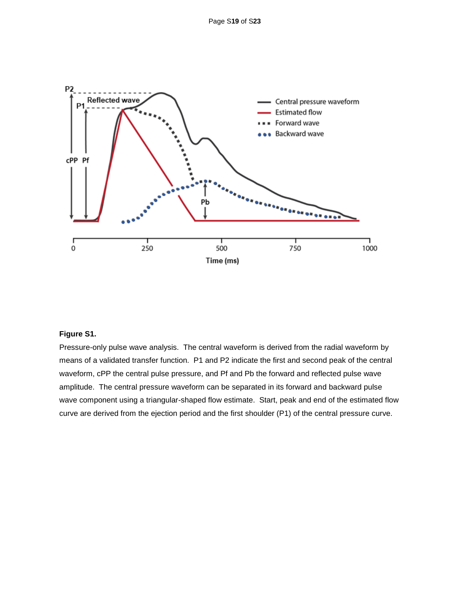

## **Figure S1.**

Pressure-only pulse wave analysis. The central waveform is derived from the radial waveform by means of a validated transfer function. P1 and P2 indicate the first and second peak of the central waveform, cPP the central pulse pressure, and Pf and Pb the forward and reflected pulse wave amplitude. The central pressure waveform can be separated in its forward and backward pulse wave component using a triangular-shaped flow estimate. Start, peak and end of the estimated flow curve are derived from the ejection period and the first shoulder (P1) of the central pressure curve.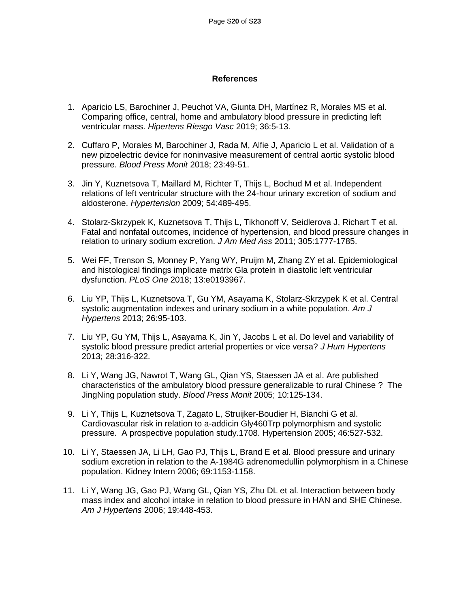## **References**

- 1. Aparicio LS, Barochiner J, Peuchot VA, Giunta DH, Martínez R, Morales MS et al. Comparing office, central, home and ambulatory blood pressure in predicting left ventricular mass. *Hipertens Riesgo Vasc* 2019; 36:5-13.
- 2. Cuffaro P, Morales M, Barochiner J, Rada M, Alfie J, Aparicio L et al. Validation of a new pizoelectric device for noninvasive measurement of central aortic systolic blood pressure. *Blood Press Monit* 2018; 23:49-51.
- 3. Jin Y, Kuznetsova T, Maillard M, Richter T, Thijs L, Bochud M et al. Independent relations of left ventricular structure with the 24-hour urinary excretion of sodium and aldosterone. *Hypertension* 2009; 54:489-495.
- 4. Stolarz-Skrzypek K, Kuznetsova T, Thijs L, Tikhonoff V, Seidlerova J, Richart T et al. Fatal and nonfatal outcomes, incidence of hypertension, and blood pressure changes in relation to urinary sodium excretion. *J Am Med Ass* 2011; 305:1777-1785.
- 5. Wei FF, Trenson S, Monney P, Yang WY, Pruijm M, Zhang ZY et al. Epidemiological and histological findings implicate matrix Gla protein in diastolic left ventricular dysfunction. *PLoS One* 2018; 13:e0193967.
- 6. Liu YP, Thijs L, Kuznetsova T, Gu YM, Asayama K, Stolarz-Skrzypek K et al. Central systolic augmentation indexes and urinary sodium in a white population. *Am J Hypertens* 2013; 26:95-103.
- 7. Liu YP, Gu YM, Thijs L, Asayama K, Jin Y, Jacobs L et al. Do level and variability of systolic blood pressure predict arterial properties or vice versa? *J Hum Hypertens* 2013; 28:316-322.
- 8. Li Y, Wang JG, Nawrot T, Wang GL, Qian YS, Staessen JA et al. Are published characteristics of the ambulatory blood pressure generalizable to rural Chinese ? The JingNing population study. *Blood Press Monit* 2005; 10:125-134.
- 9. Li Y, Thijs L, Kuznetsova T, Zagato L, Struijker-Boudier H, Bianchi G et al. Cardiovascular risk in relation to a-addicin Gly460Trp polymorphism and systolic pressure. A prospective population study.1708. Hypertension 2005; 46:527-532.
- 10. Li Y, Staessen JA, Li LH, Gao PJ, Thijs L, Brand E et al. Blood pressure and urinary sodium excretion in relation to the A-1984G adrenomedullin polymorphism in a Chinese population. Kidney Intern 2006; 69:1153-1158.
- 11. Li Y, Wang JG, Gao PJ, Wang GL, Qian YS, Zhu DL et al. Interaction between body mass index and alcohol intake in relation to blood pressure in HAN and SHE Chinese. *Am J Hypertens* 2006; 19:448-453.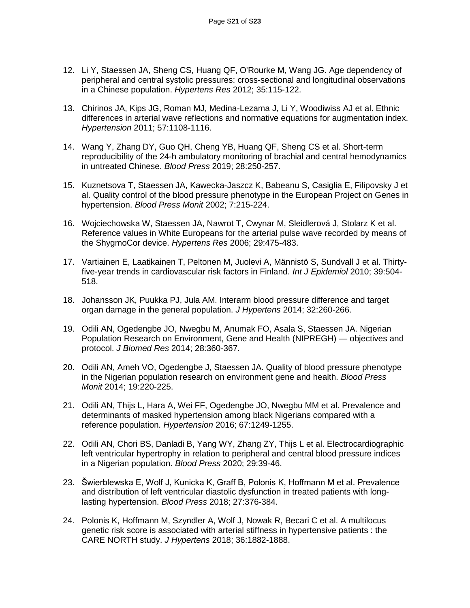- 12. Li Y, Staessen JA, Sheng CS, Huang QF, O'Rourke M, Wang JG. Age dependency of peripheral and central systolic pressures: cross-sectional and longitudinal observations in a Chinese population. *Hypertens Res* 2012; 35:115-122.
- 13. Chirinos JA, Kips JG, Roman MJ, Medina-Lezama J, Li Y, Woodiwiss AJ et al. Ethnic differences in arterial wave reflections and normative equations for augmentation index. *Hypertension* 2011; 57:1108-1116.
- 14. Wang Y, Zhang DY, Guo QH, Cheng YB, Huang QF, Sheng CS et al. Short-term reproducibility of the 24-h ambulatory monitoring of brachial and central hemodynamics in untreated Chinese. *Blood Press* 2019; 28:250-257.
- 15. Kuznetsova T, Staessen JA, Kawecka-Jaszcz K, Babeanu S, Casiglia E, Filipovsky J et al. Quality control of the blood pressure phenotype in the European Project on Genes in hypertension. *Blood Press Monit* 2002; 7:215-224.
- 16. Wojciechowska W, Staessen JA, Nawrot T, Cwynar M, Sleidlerová J, Stolarz K et al. Reference values in White Europeans for the arterial pulse wave recorded by means of the ShygmoCor device. *Hypertens Res* 2006; 29:475-483.
- 17. Vartiainen E, Laatikainen T, Peltonen M, Juolevi A, Männistö S, Sundvall J et al. Thirtyfive-year trends in cardiovascular risk factors in Finland. *Int J Epidemiol* 2010; 39:504- 518.
- 18. Johansson JK, Puukka PJ, Jula AM. Interarm blood pressure difference and target organ damage in the general population. *J Hypertens* 2014; 32:260-266.
- 19. Odili AN, Ogedengbe JO, Nwegbu M, Anumak FO, Asala S, Staessen JA. Nigerian Population Research on Environment, Gene and Health (NIPREGH) — objectives and protocol. *J Biomed Res* 2014; 28:360-367.
- 20. Odili AN, Ameh VO, Ogedengbe J, Staessen JA. Quality of blood pressure phenotype in the Nigerian population research on environment gene and health. *Blood Press Monit* 2014; 19:220-225.
- 21. Odili AN, Thijs L, Hara A, Wei FF, Ogedengbe JO, Nwegbu MM et al. Prevalence and determinants of masked hypertension among black Nigerians compared with a reference population. *Hypertension* 2016; 67:1249-1255.
- 22. Odili AN, Chori BS, Danladi B, Yang WY, Zhang ZY, Thijs L et al. Electrocardiographic left ventricular hypertrophy in relation to peripheral and central blood pressure indices in a Nigerian population. *Blood Press* 2020; 29:39-46.
- 23. Šwierblewska E, Wolf J, Kunicka K, Graff B, Polonis K, Hoffmann M et al. Prevalence and distribution of left ventricular diastolic dysfunction in treated patients with longlasting hypertension. *Blood Press* 2018; 27:376-384.
- 24. Polonis K, Hoffmann M, Szyndler A, Wolf J, Nowak R, Becari C et al. A multilocus genetic risk score is associated with arterial stiffness in hypertensive patients : the CARE NORTH study. *J Hypertens* 2018; 36:1882-1888.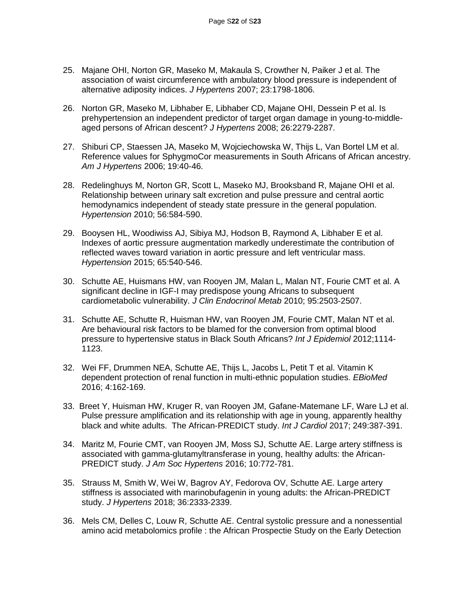- 25. Majane OHI, Norton GR, Maseko M, Makaula S, Crowther N, Paiker J et al. The association of waist circumference with ambulatory blood pressure is independent of alternative adiposity indices. *J Hypertens* 2007; 23:1798-1806.
- 26. Norton GR, Maseko M, Libhaber E, Libhaber CD, Majane OHI, Dessein P et al. Is prehypertension an independent predictor of target organ damage in young-to-middleaged persons of African descent? *J Hypertens* 2008; 26:2279-2287.
- 27. Shiburi CP, Staessen JA, Maseko M, Wojciechowska W, Thijs L, Van Bortel LM et al. Reference values for SphygmoCor measurements in South Africans of African ancestry. *Am J Hypertens* 2006; 19:40-46.
- 28. Redelinghuys M, Norton GR, Scott L, Maseko MJ, Brooksband R, Majane OHI et al. Relationship between urinary salt excretion and pulse pressure and central aortic hemodynamics independent of steady state pressure in the general population. *Hypertension* 2010; 56:584-590.
- 29. Booysen HL, Woodiwiss AJ, Sibiya MJ, Hodson B, Raymond A, Libhaber E et al. Indexes of aortic pressure augmentation markedly underestimate the contribution of reflected waves toward variation in aortic pressure and left ventricular mass. *Hypertension* 2015; 65:540-546.
- 30. Schutte AE, Huismans HW, van Rooyen JM, Malan L, Malan NT, Fourie CMT et al. A significant decline in IGF-I may predispose young Africans to subsequent cardiometabolic vulnerability. *J Clin Endocrinol Metab* 2010; 95:2503-2507.
- 31. Schutte AE, Schutte R, Huisman HW, van Rooyen JM, Fourie CMT, Malan NT et al. Are behavioural risk factors to be blamed for the conversion from optimal blood pressure to hypertensive status in Black South Africans? *Int J Epidemiol* 2012;1114- 1123.
- 32. Wei FF, Drummen NEA, Schutte AE, Thijs L, Jacobs L, Petit T et al. Vitamin K dependent protection of renal function in multi-ethnic population studies. *EBioMed* 2016; 4:162-169.
- 33. Breet Y, Huisman HW, Kruger R, van Rooyen JM, Gafane-Matemane LF, Ware LJ et al. Pulse pressure amplification and its relationship with age in young, apparently healthy black and white adults. The African-PREDICT study. *Int J Cardiol* 2017; 249:387-391.
- 34. Maritz M, Fourie CMT, van Rooyen JM, Moss SJ, Schutte AE. Large artery stiffness is associated with gamma-glutamyltransferase in young, healthy adults: the African-PREDICT study. *J Am Soc Hypertens* 2016; 10:772-781.
- 35. Strauss M, Smith W, Wei W, Bagrov AY, Fedorova OV, Schutte AE. Large artery stiffness is associated with marinobufagenin in young adults: the African-PREDICT study. *J Hypertens* 2018; 36:2333-2339.
- 36. Mels CM, Delles C, Louw R, Schutte AE. Central systolic pressure and a nonessential amino acid metabolomics profile : the African Prospectie Study on the Early Detection